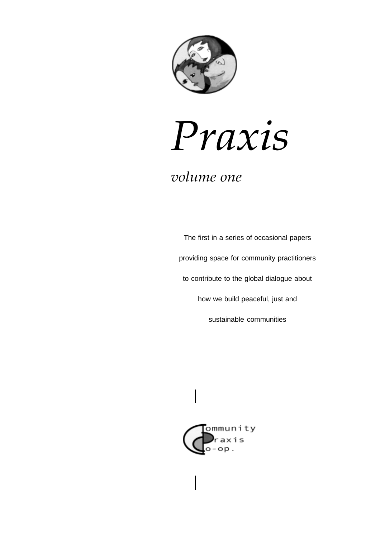

# Praxis

# volume one

The first in a series of occasional papers providing space for community practitioners to contribute to the global dialogue about how we build peaceful, just and sustainable communities

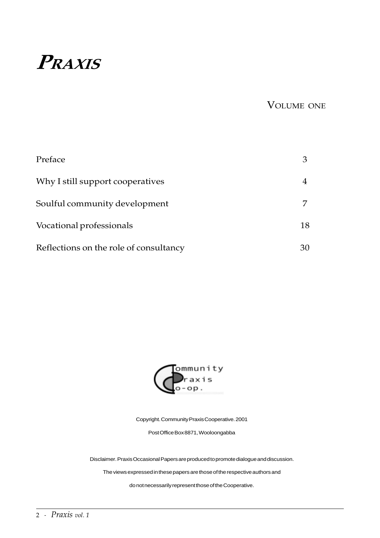# PRAXIS

VOLUME ONE

| Preface                                |    |
|----------------------------------------|----|
| Why I still support cooperatives       |    |
| Soulful community development          |    |
| Vocational professionals               | 18 |
| Reflections on the role of consultancy | 30 |



Copyright. Community Praxis Cooperative. 2001

Post Office Box 8871, Wooloongabba

Disclaimer. Praxis Occasional Papers are produced to promote dialogue and discussion.

The views expressed in these papers are those of the respective authors and

do not necessarily represent those of the Cooperative.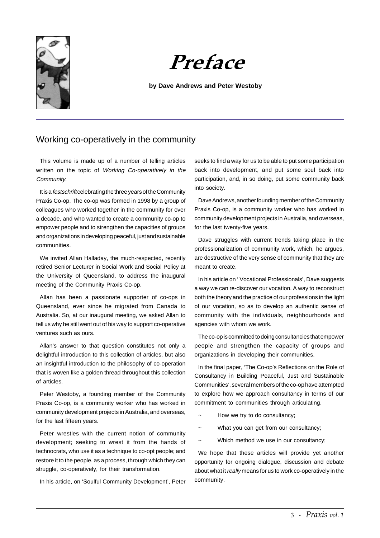



#### **by Dave Andrews and Peter Westoby**

# Working co-operatively in the community

This volume is made up of a number of telling articles written on the topic of Working Co-operatively in the Community.

It is a *festschrift* celebrating the three years of the Community Praxis Co-op. The co-op was formed in 1998 by a group of colleagues who worked together in the community for over a decade, and who wanted to create a community co-op to empower people and to strengthen the capacities of groups and organizations in developing peaceful, just and sustainable communities.

We invited Allan Halladay, the much-respected, recently retired Senior Lecturer in Social Work and Social Policy at the University of Queensland, to address the inaugural meeting of the Community Praxis Co-op.

Allan has been a passionate supporter of co-ops in Queensland, ever since he migrated from Canada to Australia. So, at our inaugural meeting, we asked Allan to tell us why he still went out of his way to support co-operative ventures such as ours.

Allan's answer to that question constitutes not only a delightful introduction to this collection of articles, but also an insightful introduction to the philosophy of co-operation that is woven like a golden thread throughout this collection of articles.

Peter Westoby, a founding member of the Community Praxis Co-op, is a community worker who has worked in community development projects in Australia, and overseas, for the last fifteen years.

Peter wrestles with the current notion of community development; seeking to wrest it from the hands of technocrats, who use it as a technique to co-opt people; and restore it to the people, as a process, through which they can struggle, co-operatively, for their transformation.

In his article, on 'Soulful Community Development', Peter

seeks to find a way for us to be able to put some participation back into development, and put some soul back into participation, and, in so doing, put some community back into society.

Dave Andrews, another founding member of the Community Praxis Co-op, is a community worker who has worked in community development projects in Australia, and overseas, for the last twenty-five years.

Dave struggles with current trends taking place in the professionalization of community work, which, he argues, are destructive of the very sense of community that they are meant to create.

In his article on ' Vocational Professionals', Dave suggests a way we can re-discover our vocation. A way to reconstruct both the theory and the practice of our professions in the light of our vocation, so as to develop an authentic sense of community with the individuals, neighbourhoods and agencies with whom we work.

The co-op is committed to doing consultancies that empower people and strengthen the capacity of groups and organizations in developing their communities.

In the final paper, 'The Co-op's Reflections on the Role of Consultancy in Building Peaceful, Just and Sustainable Communities', several members of the co-op have attempted to explore how we approach consultancy in terms of our commitment to communities through articulating.

- How we try to do consultancy;
- What you can get from our consultancy;
- ~ Which method we use in our consultancy;

We hope that these articles will provide yet another opportunity for ongoing dialogue, discussion and debate about what it really means for us to work co-operatively in the community.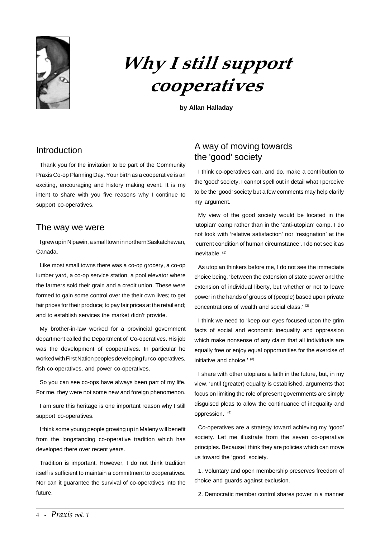

# Why I still support cooperatives

**by Allan Halladay**

## Introduction

Thank you for the invitation to be part of the Community Praxis Co-op Planning Day. Your birth as a cooperative is an exciting, encouraging and history making event. It is my intent to share with you five reasons why I continue to support co-operatives.

#### The way we were

I grew up in Nipawin, a small town in northern Saskatchewan, Canada.

Like most small towns there was a co-op grocery, a co-op lumber yard, a co-op service station, a pool elevator where the farmers sold their grain and a credit union. These were formed to gain some control over the their own lives; to get fair prices for their produce; to pay fair prices at the retail end; and to establish services the market didn't provide.

My brother-in-law worked for a provincial government department called the Department of Co-operatives. His job was the development of cooperatives. In particular he worked with First Nation peoples developing fur co-operatives, fish co-operatives, and power co-operatives.

So you can see co-ops have always been part of my life. For me, they were not some new and foreign phenomenon.

I am sure this heritage is one important reason why I still support co-operatives.

I think some young people growing up in Maleny will benefit from the longstanding co-operative tradition which has developed there over recent years.

Tradition is important. However, I do not think tradition itself is sufficient to maintain a commitment to cooperatives. Nor can it guarantee the survival of co-operatives into the future.

# A way of moving towards the 'good' society

I think co-operatives can, and do, make a contribution to the 'good' society. I cannot spell out in detail what I perceive to be the 'good' society but a few comments may help clarify my argument.

My view of the good society would be located in the 'utopian' camp rather than in the 'anti-utopian' camp. I do not look with 'relative satisfaction' nor 'resignation' at the 'current condition of human circumstance'. I do not see it as inevitable. (1)

As utopian thinkers before me, I do not see the immediate choice being, 'between the extension of state power and the extension of individual liberty, but whether or not to leave power in the hands of groups of (people) based upon private concentrations of wealth and social class.' (2)

I think we need to 'keep our eyes focused upon the grim facts of social and economic inequality and oppression which make nonsense of any claim that all individuals are equally free or enjoy equal opportunities for the exercise of initiative and choice.' (3)

I share with other utopians a faith in the future, but, in my view, 'until (greater) equality is established, arguments that focus on limiting the role of present governments are simply disguised pleas to allow the continuance of inequality and oppression.' (4)

Co-operatives are a strategy toward achieving my 'good' society. Let me illustrate from the seven co-operative principles. Because I think they are policies which can move us toward the 'good' society.

1. Voluntary and open membership preserves freedom of choice and guards against exclusion.

2. Democratic member control shares power in a manner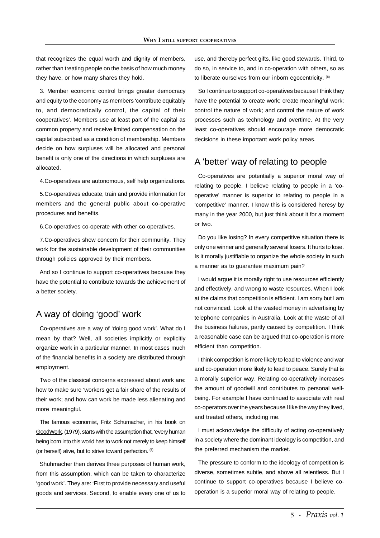that recognizes the equal worth and dignity of members, rather than treating people on the basis of how much money they have, or how many shares they hold.

3. Member economic control brings greater democracy and equity to the economy as members 'contribute equitably to, and democratically control, the capital of their cooperatives'. Members use at least part of the capital as common property and receive limited compensation on the capital subscribed as a condition of membership. Members decide on how surpluses will be allocated and personal benefit is only one of the directions in which surpluses are allocated.

4.Co-operatives are autonomous, self help organizations.

5.Co-operatives educate, train and provide information for members and the general public about co-operative procedures and benefits.

6.Co-operatives co-operate with other co-operatives.

7.Co-operatives show concern for their community. They work for the sustainable development of their communities through policies approved by their members.

And so I continue to support co-operatives because they have the potential to contribute towards the achievement of a better society.

## A way of doing 'good' work

Co-operatives are a way of 'doing good work'. What do I mean by that? Well, all societies implicitly or explicitly organize work in a particular manner. In most cases much of the financial benefits in a society are distributed through employment.

Two of the classical concerns expressed about work are: how to make sure 'workers get a fair share of the results of their work; and how can work be made less alienating and more meaningful.

The famous economist, Fritz Schumacher, in his book on GoodWork. (1979), starts with the assumption that, 'every human being born into this world has to work not merely to keep himself (or herself) alive, but to strive toward perfection. (5)

Shuhmacher then derives three purposes of human work, from this assumption, which can be taken to characterize 'good work'. They are: 'First to provide necessary and useful goods and services. Second, to enable every one of us to use, and thereby perfect gifts, like good stewards. Third, to do so, in service to, and in co-operation with others, so as to liberate ourselves from our inborn egocentricity. <sup>(6)</sup>

So I continue to support co-operatives because I think they have the potential to create work; create meaningful work; control the nature of work; and control the nature of work processes such as technology and overtime. At the very least co-operatives should encourage more democratic decisions in these important work policy areas.

#### A 'better' way of relating to people

Co-operatives are potentially a superior moral way of relating to people. I believe relating to people in a 'cooperative' manner is superior to relating to people in a 'competitive' manner. I know this is considered heresy by many in the year 2000, but just think about it for a moment or two.

Do you like losing? In every competitive situation there is only one winner and generally several losers. It hurts to lose. Is it morally justifiable to organize the whole society in such a manner as to guarantee maximum pain?

I would argue it is morally right to use resources efficiently and effectively, and wrong to waste resources. When I look at the claims that competition is efficient. I am sorry but I am not convinced. Look at the wasted money in advertising by telephone companies in Australia. Look at the waste of all the business failures, partly caused by competition. I think a reasonable case can be argued that co-operation is more efficient than competition.

I think competition is more likely to lead to violence and war and co-operation more likely to lead to peace. Surely that is a morally superior way. Relating co-operatively increases the amount of goodwill and contributes to personal wellbeing. For example I have continued to associate with real co-operators over the years because I like the way they lived, and treated others, including me.

I must acknowledge the difficulty of acting co-operatively in a society where the dominant ideology is competition, and the preferred mechanism the market.

The pressure to conform to the ideology of competition is diverse, sometimes subtle, and above all relentless. But I continue to support co-operatives because I believe cooperation is a superior moral way of relating to people.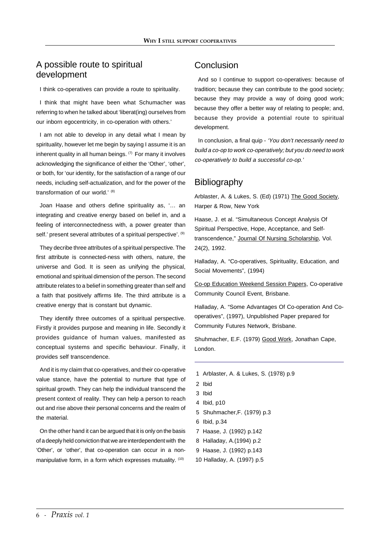# A possible route to spiritual development

I think co-operatives can provide a route to spirituality.

I think that might have been what Schumacher was referring to when he talked about 'liberat(ing) ourselves from our inborn egocentricity, in co-operation with others.'

I am not able to develop in any detail what I mean by spirituality, however let me begin by saying I assume it is an inherent quality in all human beings. (7) For many it involves acknowledging the significance of either the 'Other', 'other', or both, for 'our identity, for the satisfaction of a range of our needs, including self-actualization, and for the power of the transformation of our world.' (8)

Joan Haase and others define spirituality as, '… an integrating and creative energy based on belief in, and a feeling of interconnectedness with, a power greater than self.' present several attributes of a spiritual perspective'. (9)

They decribe three attributes of a spiritual perspective. The first attribute is connected-ness with others, nature, the universe and God. It is seen as unifying the physical, emotional and spiritual dimension of the person. The second attribute relates to a belief in something greater than self and a faith that positively affirms life. The third attribute is a creative energy that is constant but dynamic.

They identify three outcomes of a spiritual perspective. Firstly it provides purpose and meaning in life. Secondly it provides guidance of human values, manifested as conceptual systems and specific behaviour. Finally, it provides self transcendence.

And it is my claim that co-operatives, and their co-operative value stance, have the potential to nurture that type of spiritual growth. They can help the individual transcend the present context of reality. They can help a person to reach out and rise above their personal concerns and the realm of the material.

On the other hand it can be argued that it is only on the basis of a deeply held conviction that we are interdependent with the 'Other', or 'other', that co-operation can occur in a nonmanipulative form, in a form which expresses mutuality. (10)

# **Conclusion**

And so I continue to support co-operatives: because of tradition; because they can contribute to the good society; because they may provide a way of doing good work; because they offer a better way of relating to people; and, because they provide a potential route to spiritual development.

In conclusion, a final quip - 'You don't necessarily need to build a co-op to work co-operatively; but you do need to work co-operatively to build a successful co-op.'

# **Bibliography**

Arblaster, A. & Lukes, S. (Ed) (1971) The Good Society, Harper & Row, New York

Haase, J. et al. "Simultaneous Concept Analysis Of Spiritual Perspective, Hope, Acceptance, and Selftranscendence," Journal Of Nursing Scholarship, Vol. 24(2), 1992.

Halladay, A. "Co-operatives, Spirituality, Education, and Social Movements", (1994)

Co-op Education Weekend Session Papers, Co-operative Community Council Event, Brisbane.

Halladay, A. "Some Advantages Of Co-operation And Cooperatives", (1997), Unpublished Paper prepared for Community Futures Network, Brisbane.

Shuhmacher, E.F. (1979) Good Work, Jonathan Cape, London.

- 1 Arblaster, A. & Lukes, S. (1978) p.9
- 2 Ibid
- 3 Ibid
- 4 Ibid, p10
- 5 Shuhmacher,F. (1979) p.3
- 6 Ibid, p.34
- 7 Haase, J. (1992) p.142
- 8 Halladay, A.(1994) p.2
- 9 Haase, J. (1992) p.143
- 10 Halladay, A. (1997) p.5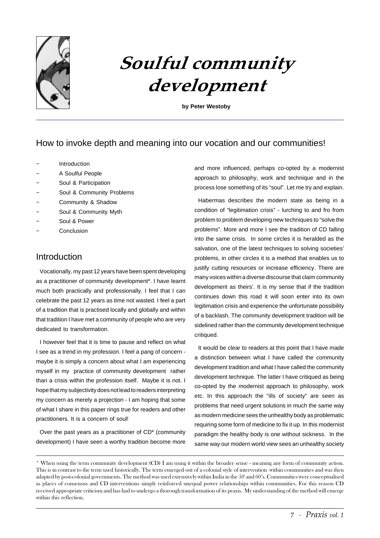

# Soulful community development

**by Peter Westoby**

# How to invoke depth and meaning into our vocation and our communities!

- **Introduction**
- A Soulful People
- Soul & Participation
- Soul & Community Problems
- Community & Shadow
- Soul & Community Myth
- Soul & Power
- **Conclusion**

# **Introduction**

Vocationally, my past 12 years have been spent developing as a practitioner of community development\*. I have learnt much both practically and professionally. I feel that I can celebrate the past 12 years as time not wasted. I feel a part of a tradition that is practised locally and globally and within that tradition I have met a community of people who are very dedicated to transformation.

I however feel that it is time to pause and reflect on what I see as a trend in my profession. I feel a pang of concern maybe it is simply a concern about what I am experiencing myself in my practice of community development rather than a crisis within the profession itself. Maybe it is not. I hope that my subjectivity does not lead to readers interpreting my concern as merely a projection - I am hoping that some of what I share in this paper rings true for readers and other practitioners. It is a concern of soul!

Over the past years as a practitioner of CD\* (community development) I have seen a worthy tradition become more and more influenced, perhaps co-opted by a modernist approach to philosophy, work and technique and in the process lose something of its "soul". Let me try and explain.

Habermas describes the modern state as being in a condition of "legitimation crisis" - lurching to and fro from problem to problem developing new techniques to "solve the problems". More and more I see the tradition of CD falling into the same crisis. In some circles it is heralded as the salvation, one of the latest techniques to solving societies' problems, in other circles it is a method that enables us to justify cutting resources or increase efficiency. There are many voices within a diverse discourse that claim community development as theirs'. It is my sense that if the tradition continues down this road it will soon enter into its own legitimation crisis and experience the unfortunate possibility of a backlash. The community development tradition will be sidelined rather than the community development technique critiqued.

It would be clear to readers at this point that I have made a distinction between what I have called the community development tradition and what I have called the community development technique. The latter I have critiqued as being co-opted by the modernist approach to philosophy, work etc. In this approach the "ills of society" are seen as problems that need urgent solutions in much the same way as modern medicine sees the unhealthy body as problematic requiring some form of medicine to fix it up. In this modernist paradigm the healthy body is one without sickness. In the same way our modern world view sees an unhealthy society

<sup>\*</sup> When using the term community development (CD) I am using it within the broader sense - meaning any form of community action. This is in contrast to the term used historically. The term emerged out of a colonial style of intervention within communities and was then adapted by post-colonial governments. The method was used extensively within India in the 50' and 60's. Communities were conceptualised as places of consensus and CD interventions simply reinforced unequal power relationships within communities. For this reason CD received appropriate criticism and has had to undergo a thorough transformation of its praxis. My understanding of the method will emerge within this reflection.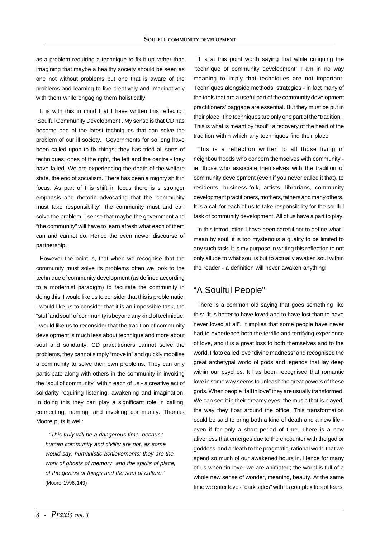as a problem requiring a technique to fix it up rather than imagining that maybe a healthy society should be seen as one not without problems but one that is aware of the problems and learning to live creatively and imaginatively with them while engaging them holistically.

It is with this in mind that I have written this reflection 'Soulful Community Development'. My sense is that CD has become one of the latest techniques that can solve the problem of our ill society. Governments for so long have been called upon to fix things; they has tried all sorts of techniques, ones of the right, the left and the centre - they have failed. We are experiencing the death of the welfare state, the end of socialism. There has been a mighty shift in focus. As part of this shift in focus there is s stronger emphasis and rhetoric advocating that the 'community must take responsibility', the community must and can solve the problem. I sense that maybe the government and "the community" will have to learn afresh what each of them can and cannot do. Hence the even newer discourse of partnership.

However the point is, that when we recognise that the community must solve its problems often we look to the technique of community development (as defined according to a modernist paradigm) to facilitate the community in doing this. I would like us to consider that this is problematic. I would like us to consider that it is an impossible task, the "stuff and soul" of community is beyond any kind of technique. I would like us to reconsider that the tradition of community development is much less about technique and more about soul and solidarity. CD practitioners cannot solve the problems, they cannot simply "move in" and quickly mobilise a community to solve their own problems. They can only participate along with others in the community in invoking the "soul of community" within each of us - a creative act of solidarity requiring listening, awakening and imagination. In doing this they can play a significant role in calling, connecting, naming, and invoking community. Thomas Moore puts it well:

"This truly will be a dangerous time, because human community and civility are not, as some would say, humanistic achievements; they are the work of ghosts of memory and the spirits of place, of the genius of things and the soul of culture." (Moore, 1996, 149)

It is at this point worth saying that while critiquing the "technique of community development" I am in no way meaning to imply that techniques are not important. Techniques alongside methods, strategies - in fact many of the tools that are a useful part of the community development practitioners' baggage are essential. But they must be put in their place. The techniques are only one part of the "tradition". This is what is meant by "soul": a recovery of the heart of the tradition within which any techniques find their place.

This is a reflection written to all those living in neighbourhoods who concern themselves with community ie. those who associate themselves with the tradition of community development (even if you never called it that), to residents, business-folk, artists, librarians, community development practitioners, mothers, fathers and many others. It is a call for each of us to take responsibility for the soulful task of community development. All of us have a part to play.

In this introduction I have been careful not to define what I mean by soul, it is too mysterious a quality to be limited to any such task. It is my purpose in writing this reflection to not only allude to what soul is but to actually awaken soul within the reader - a definition will never awaken anything!

## "A Soulful People"

There is a common old saying that goes something like this: "It is better to have loved and to have lost than to have never loved at all". It implies that some people have never had to experience both the terrific and terrifying experience of love, and it is a great loss to both themselves and to the world. Plato called love "divine madness" and recognised the great archetypal world of gods and legends that lay deep within our psyches. It has been recognised that romantic love in some way seems to unleash the great powers of these gods. When people "fall in love" they are usually transformed. We can see it in their dreamy eyes, the music that is played, the way they float around the office. This transformation could be said to bring both a kind of death and a new life even if for only a short period of time. There is a new aliveness that emerges due to the encounter with the god or goddess and a death to the pragmatic, rational world that we spend so much of our awakened hours in. Hence for many of us when "in love" we are animated; the world is full of a whole new sense of wonder, meaning, beauty. At the same time we enter loves "dark sides" with its complexities of fears,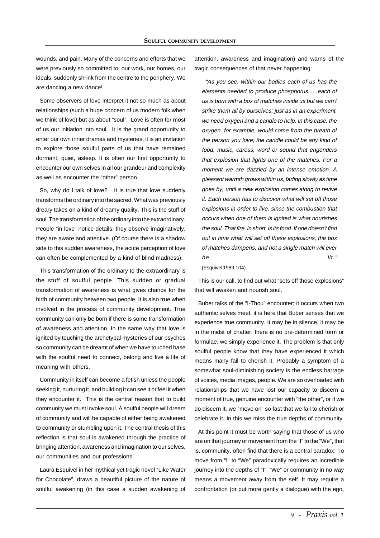wounds, and pain. Many of the concerns and efforts that we were previously so committed to; our work, our homes, our ideals, suddenly shrink from the centre to the periphery. We are dancing a new dance!

Some observers of love interpret it not so much as about relationships (such a huge concern of us modern folk when we think of love) but as about "soul". Love is often for most of us our initiation into soul. It is the grand opportunity to enter our own inner dramas and mysteries, it is an invitation to explore those soulful parts of us that have remained dormant, quiet, asleep. It is often our first opportunity to encounter our own selves in all our grandeur and complexity as well as encounter the "other" person.

So, why do I talk of love? It is true that love suddenly transforms the ordinary into the sacred. What was previously dreary takes on a kind of dreamy quality. This is the stuff of soul. The transformation of the ordinary into the extraordinary. People "in love" notice details, they observe imaginatively, they are aware and attentive. (Of course there is a shadow side to this sudden awareness, the acute perception of love can often be complemented by a kind of blind madness).

This transformation of the ordinary to the extraordinary is the stuff of soulful people. This sudden or gradual transformation of awareness is what gives chance for the birth of community between two people. It is also true when involved in the process of community development. True community can only be born if there is some transformation of awareness and attention. In the same way that love is ignited by touching the archetypal mysteries of our psyches so community can be dreamt of when we have touched base with the soulful need to connect, belong and live a life of meaning with others.

Community in itself can become a fetish unless the people seeking it, nurturing it, and building it can see it or feel it when they encounter it. This is the central reason that to build community we must invoke soul. A soulful people will dream of community and will be capable of either being awakened to community or stumbling upon it. The central thesis of this reflection is that soul is awakened through the practice of bringing attention, awareness and imagination to our selves, our communities and our professions.

Laura Esquivel in her mythical yet tragic novel "Like Water for Chocolate", draws a beautiful picture of the nature of soulful awakening (in this case a sudden awakening of attention, awareness and imagination) and warns of the tragic consequences of that never happening:

"As you see, within our bodies each of us has the elements needed to produce phosphorus......each of us is born with a box of matches inside us but we can't strike them all by ourselves; just as in an experiment, we need oxygen and a candle to help. In this case, the oxygen, for example, would come from the breath of the person you love; the candle could be any kind of food, music, caress, word or sound that engenders that explosion that lights one of the matches. For a moment we are dazzled by an intense emotion. A pleasant warmth grows within us, fading slowly as time goes by, until a new explosion comes along to revive it. Each person has to discover what will set off those explosions in order to live, since the combustion that occurs when one of them is ignited is what nourishes the soul. That fire, in short, is its food. If one doesn't find out in time what will set off these explosions, the box of matches dampens, and not a single match will ever be lit."

(Esquivel 1989,104)

This is our call, to find out what "sets off those explosions" that will awaken and nourish soul.

Buber talks of the "I-Thou" encounter; it occurs when two authentic selves meet, it is here that Buber senses that we experience true community. It may be in silence, it may be in the midst of chatter; there is no pre-determined form or formulae; we simply experience it. The problem is that only soulful people know that they have experienced it which means many fail to cherish it. Probably a symptom of a somewhat soul-diminishing society is the endless barrage of voices, media images, people. We are so overloaded with relationships that we have lost our capacity to discern a moment of true, genuine encounter with "the other", or if we do discern it, we "move on" so fast that we fail to cherish or celebrate it. In this we miss the true depths of community.

At this point it must be worth saying that those of us who are on that journey or movement from the "I" to the "We", that is, community, often find that there is a central paradox. To move from "I" to "We" paradoxically requires an incredible journey into the depths of "I". "We" or community in no way means a movement away from the self. It may require a confrontation (or put more gently a dialogue) with the ego,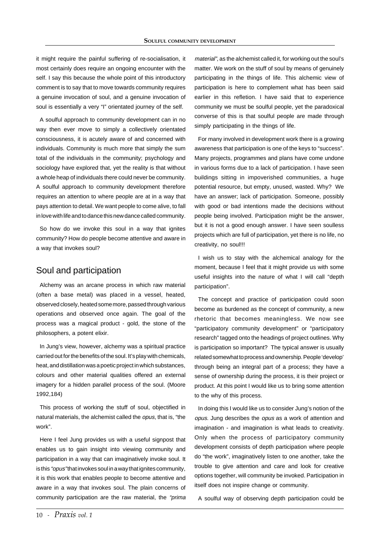it might require the painful suffering of re-socialisation, it most certainly does require an ongoing encounter with the self. I say this because the whole point of this introductory comment is to say that to move towards community requires a genuine invocation of soul, and a genuine invocation of soul is essentially a very "I" orientated journey of the self.

A soulful approach to community development can in no way then ever move to simply a collectively orientated consciousness, it is acutely aware of and concerned with individuals. Community is much more that simply the sum total of the individuals in the community; psychology and sociology have explored that, yet the reality is that without a whole heap of individuals there could never be community. A soulful approach to community development therefore requires an attention to where people are at in a way that pays attention to detail. We want people to come alive, to fall in love with life and to dance this new dance called community.

So how do we invoke this soul in a way that ignites community? How do people become attentive and aware in a way that invokes soul?

#### Soul and participation

Alchemy was an arcane process in which raw material (often a base metal) was placed in a vessel, heated, observed closely, heated some more, passed through various operations and observed once again. The goal of the process was a magical product - gold, the stone of the philosophers, a potent elixir.

In Jung's view, however, alchemy was a spiritual practice carried out for the benefits of the soul. It's play with chemicals, heat, and distillation was a poetic project in which substances, colours and other material qualities offered an external imagery for a hidden parallel process of the soul. (Moore 1992,184)

This process of working the stuff of soul, objectified in natural materials, the alchemist called the opus, that is, "the work".

Here I feel Jung provides us with a useful signpost that enables us to gain insight into viewing community and participation in a way that can imaginatively invoke soul. It is this "*opus*" that invokes soul in a way that ignites community, it is this work that enables people to become attentive and aware in a way that invokes soul. The plain concerns of community participation are the raw material, the "prima

material", as the alchemist called it, for working out the soul's matter. We work on the stuff of soul by means of genuinely participating in the things of life. This alchemic view of participation is here to complement what has been said earlier in this refletion. I have said that to experience community we must be soulful people, yet the paradoxical converse of this is that soulful people are made through simply participating in the things of life.

For many involved in development work there is a growing awareness that participation is one of the keys to "success". Many projects, programmes and plans have come undone in various forms due to a lack of participation. I have seen buildings sitting in impoverished communities, a huge potential resource, but empty, unused, wasted. Why? We have an answer; lack of participation. Someone, possibly with good or bad intentions made the decisions without people being involved. Participation might be the answer, but it is not a good enough answer. I have seen soulless projects which are full of participation, yet there is no life, no creativity, no soul!!!

I wish us to stay with the alchemical analogy for the moment, because I feel that it might provide us with some useful insights into the nature of what I will call "depth participation".

The concept and practice of participation could soon become as burdened as the concept of community, a new rhetoric that becomes meaningless. We now see "participatory community development" or "participatory research" tagged onto the headings of project outlines. Why is participation so important? The typical answer is usually related somewhat to process and ownership. People 'develop' through being an integral part of a process; they have a sense of ownership during the process, it is their project or product. At this point I would like us to bring some attention to the why of this process.

In doing this I would like us to consider Jung's notion of the opus. Jung describes the opus as a work of attention and imagination - and imagination is what leads to creativity. Only when the process of participatory community development consists of depth participation where people do "the work", imaginatively listen to one another, take the trouble to give attention and care and look for creative options together, will community be invoked. Participation in itself does not inspire change or community.

A soulful way of observing depth participation could be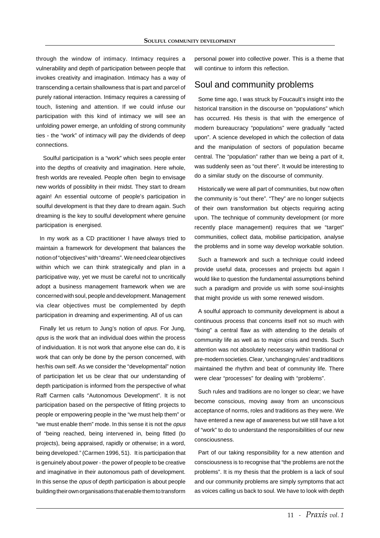through the window of intimacy. Intimacy requires a vulnerability and depth of participation between people that invokes creativity and imagination. Intimacy has a way of transcending a certain shallowness that is part and parcel of purely rational interaction. Intimacy requires a caressing of touch, listening and attention. If we could infuse our participation with this kind of intimacy we will see an unfolding power emerge, an unfolding of strong community ties - the "work" of intimacy will pay the dividends of deep connections.

 Soulful participation is a "work" which sees people enter into the depths of creativity and imagination. Here whole, fresh worlds are revealed. People often begin to envisage new worlds of possiblity in their midst. They start to dream again! An essential outcome of people's participation in soulful development is that they dare to dream again. Such dreaming is the key to soulful development where genuine participation is energised.

In my work as a CD practitioner I have always tried to maintain a framework for development that balances the notion of "objectives" with "dreams". We need clear objectives within which we can think strategically and plan in a participative way, yet we must be careful not to uncritically adopt a business management framework when we are concerned with soul, people and development. Management via clear objectives must be complemented by depth participation in dreaming and experimenting. All of us can

Finally let us return to Jung's notion of opus. For Jung, opus is the work that an individual does within the process of individuation. It is not work that anyone else can do, it is work that can only be done by the person concerned, with her/his own self. As we consider the "developmental" notion of participation let us be clear that our understanding of depth participation is informed from the perspective of what Raff Carmen calls "Autonomous Development". It is not participation based on the perspective of fitting projects to people or empowering people in the "we must help them" or "we must enable them" mode. In this sense it is not the opus of "being reached, being intervened in, being fitted (to projects), being appraised, rapidly or otherwise; in a word, being developed." (Carmen 1996, 51). It is participation that is genuinely about power - the power of people to be creative and imaginative in their autonomous path of development. In this sense the *opus* of depth participation is about people building their own organisations that enable them to transform

personal power into collective power. This is a theme that will continue to inform this reflection.

#### Soul and community problems

Some time ago, I was struck by Foucault's insight into the historical transition in the discourse on "populations" which has occurred. His thesis is that with the emergence of modern bureaucracy "populations" were gradually "acted upon". A science developed in which the collection of data and the manipulation of sectors of population became central. The "population" rather than we being a part of it, was suddenly seen as "out there". It would be interesting to do a similar study on the discourse of community.

Historically we were all part of communities, but now often the community is "out there". "They" are no longer subjects of their own transformation but objects requiring acting upon. The technique of community development (or more recently place management) requires that we "target" communities, collect data, mobilise participation, analyse the problems and in some way develop workable solution.

Such a framework and such a technique could indeed provide useful data, processes and projects but again I would like to question the fundamental assumptions behind such a paradigm and provide us with some soul-insights that might provide us with some renewed wisdom.

A soulful approach to community development is about a continuous process that concerns itself not so much with "fixing" a central flaw as with attending to the details of community life as well as to major crisis and trends. Such attention was not absolutely necessary within traditional or pre-modern societies. Clear, 'unchanging rules' and traditions maintained the rhythm and beat of community life. There were clear "processes" for dealing with "problems".

Such rules and traditions are no longer so clear; we have become conscious, moving away from an unconscious acceptance of norms, roles and traditions as they were. We have entered a new age of awareness but we still have a lot of "work" to do to understand the responsibilities of our new consciousness.

Part of our taking responsibility for a new attention and consciousness is to recognise that "the problems are not the problems". It is my thesis that the problem is a lack of soul and our community problems are simply symptoms that act as voices calling us back to soul. We have to look with depth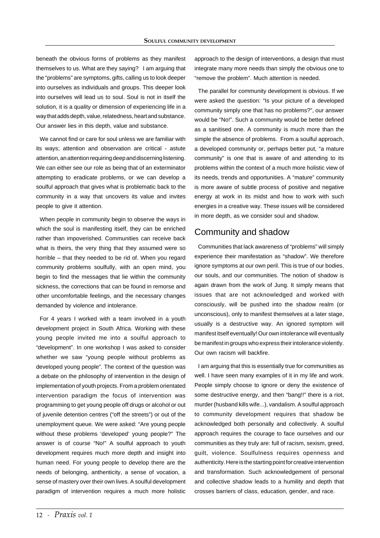beneath the obvious forms of problems as they manifest themselves to us. What are they saying? I am arguing that the "problems" are symptoms, gifts, calling us to look deeper into ourselves as individuals and groups. This deeper look into ourselves will lead us to soul. Soul is not in itself the solution, it is a quality or dimension of experiencing life in a way that adds depth, value, relatedness, heart and substance. Our answer lies in this depth, value and substance.

We cannot find or care for soul unless we are familiar with its ways; attention and observation are critical - astute attention, an attention requiring deep and discerning listening. We can either see our role as being that of an exterminator attempting to eradicate problems, or we can develop a soulful approach that gives what is problematic back to the community in a way that uncovers its value and invites people to give it attention.

When people in community begin to observe the ways in which the soul is manifesting itself, they can be enriched rather than impoverished. Communities can receive back what is theirs, the very thing that they assumed were so horrible – that they needed to be rid of. When you regard community problems soulfully, with an open mind, you begin to find the messages that lie within the community sickness, the corrections that can be found in remorse and other uncomfortable feelings, and the necessary changes demanded by violence and intolerance.

For 4 years I worked with a team involved in a youth development project in South Africa. Working with these young people invited me into a soulful approach to "development". In one workshop I was asked to consider whether we saw "young people without problems as developed young people". The context of the question was a debate on the philosophy of intervention in the design of implementation of youth projects. From a problem orientated intervention paradigm the focus of intervention was programming to get young people off drugs or alcohol or out of juvenile detention centres ("off the streets") or out of the unemployment queue. We were asked: "Are young people without these problems 'developed' young people?" The answer is of course "No!" A soulful approach to youth development requires much more depth and insight into human need. For young people to develop there are the needs of belonging, anthenticity, a sense of vocation, a sense of mastery over their own lives. A soulful development paradigm of intervention requires a much more holistic

approach to the design of interventions, a design that must integrate many more needs than simply the obvious one to "remove the problem". Much attention is needed.

The parallel for community development is obvious. If we were asked the question: "Is your picture of a developed community simply one that has no problems?", our answer would be "No!". Such a community would be better defined as a sanitised one. A community is much more than the simple the absence of problems. From a soulful approach, a developed community or, perhaps better put, "a mature community" is one that is aware of and attending to its problems within the context of a much more holistic view of its needs, trends and opportunities. A "mature" community is more aware of subtle process of positive and negative energy at work in its midst and how to work with such energies in a creative way. These issues will be considered in more depth, as we consider soul and shadow.

#### Community and shadow

Communities that lack awareness of "problems" will simply experience their manifestation as "shadow". We therefore ignore symptoms at our own peril. This is true of our bodies, our souls, and our communities. The notion of shadow is again drawn from the work of Jung. It simply means that issues that are not acknowledged and worked with consciously, will be pushed into the shadow realm (or unconscious), only to manifest themselves at a later stage, usually is a destructive way. An ignored symptom will manifest itself eventually! Our own intolerance will eventually be manifest in groups who express their intolerance violently. Our own racism will backfire.

I am arguing that this is essentially true for communities as well. I have seen many examples of it in my life and work. People simply choose to ignore or deny the existence of some destructive energy, and then "bang!!" there is a riot, murder (husband kills wife...), vandalism. A soulful approach to community development requires that shadow be acknowledged both personally and collectively. A soulful approach requires the courage to face ourselves and our communities as they truly are: full of racism, sexism, greed, guilt, violence. Soulfulness requires openness and authenticity. Here is the starting point for creative intervention and transformation. Such acknowledgement of personal and collective shadow leads to a humility and depth that crosses barriers of class, education, gender, and race.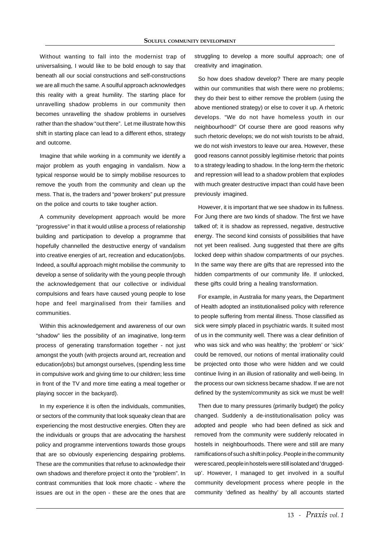Without wanting to fall into the modernist trap of universalising, I would like to be bold enough to say that beneath all our social constructions and self-constructions we are all much the same. A soulful approach acknowledges this reality with a great humility. The starting place for unravelling shadow problems in our community then becomes unravelling the shadow problems in ourselves rather than the shadow "out there". Let me illustrate how this shift in starting place can lead to a different ethos, strategy and outcome.

Imagine that while working in a community we identify a major problem as youth engaging in vandalism. Now a typical response would be to simply mobilise resources to remove the youth from the community and clean up the mess. That is, the traders and "power brokers" put pressure on the police and courts to take tougher action.

A community development approach would be more "progressive" in that it would utilise a process of relationship building and participation to develop a programme that hopefully channelled the destructive energy of vandalism into creative energies of art, recreation and education/jobs. Indeed, a soulful approach might mobilise the community to develop a sense of solidarity with the young people through the acknowledgement that our collective or individual compulsions and fears have caused young people to lose hope and feel marginalised from their families and communities.

Within this acknowledgement and awareness of our own "shadow" lies the possibility of an imaginative, long-term process of generating transformation together - not just amongst the youth (with projects around art, recreation and education/jobs) but amongst ourselves, (spending less time in compulsive work and giving time to our children; less time in front of the TV and more time eating a meal together or playing soccer in the backyard).

In my experience it is often the individuals, communities, or sectors of the community that look squeaky clean that are experiencing the most destructive energies. Often they are the individuals or groups that are advocating the harshest policy and programme interventions towards those groups that are so obviously experiencing despairing problems. These are the communities that refuse to acknowledge their own shadows and therefore project it onto the "problem". In contrast communities that look more chaotic - where the issues are out in the open - these are the ones that are

struggling to develop a more soulful approach; one of creativity and imagination.

So how does shadow develop? There are many people within our communities that wish there were no problems; they do their best to either remove the problem (using the above mentioned strategy) or else to cover it up. A rhetoric develops. "We do not have homeless youth in our neighbourhood!" Of course there are good reasons why such rhetoric develops; we do not wish tourists to be afraid, we do not wish investors to leave our area. However, these good reasons cannot possibly legitimise rhetoric that points to a strategy leading to shadow. In the long-term the rhetoric and repression will lead to a shadow problem that explodes with much greater destructive impact than could have been previously imagined.

However, it is important that we see shadow in its fullness. For Jung there are two kinds of shadow. The first we have talked of; it is shadow as repressed, negative, destructive energy. The second kind consists of possibilities that have not yet been realised. Jung suggested that there are gifts locked deep within shadow compartments of our psyches. In the same way there are gifts that are repressed into the hidden compartments of our community life. If unlocked, these gifts could bring a healing transformation.

For example, in Australia for many years, the Department of Health adopted an institutionalised policy with reference to people suffering from mental illness. Those classified as sick were simply placed in psychiatric wards. It suited most of us in the community well. There was a clear definition of who was sick and who was healthy; the 'problem' or 'sick' could be removed, our notions of mental irrationality could be projected onto those who were hidden and we could continue living in an illusion of rationality and well-being. In the process our own sickness became shadow. If we are not defined by the system/community as sick we must be well!

Then due to many pressures (primarily budget) the policy changed. Suddenly a de-institutionalisation policy was adopted and people who had been defined as sick and removed from the community were suddenly relocated in hostels in neighbourhoods. There were and still are many ramifications of such a shift in policy. People in the community were scared, people in hostels were still isolated and 'druggedup'. However, I managed to get involved in a soulful community development process where people in the community 'defined as healthy' by all accounts started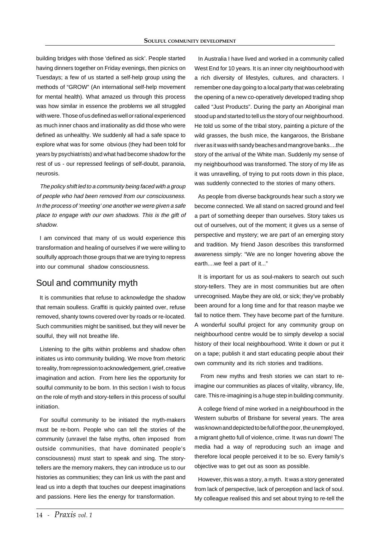building bridges with those 'defined as sick'. People started having dinners together on Friday evenings, then picnics on Tuesdays; a few of us started a self-help group using the methods of "GROW" (An international self-help movement for mental health). What amazed us through this process was how similar in essence the problems we all struggled with were. Those of us defined as well or rational experienced as much inner chaos and irrationality as did those who were defined as unhealthy. We suddenly all had a safe space to explore what was for some obvious (they had been told for years by psychiatrists) and what had become shadow for the rest of us - our repressed feelings of self-doubt, paranoia, neurosis.

The policy shift led to a community being faced with a group of people who had been removed from our consciousness. In the process of 'meeting' one another we were given a safe place to engage with our own shadows. This is the gift of shadow.

I am convinced that many of us would experience this transformation and healing of ourselves if we were willing to soulfully approach those groups that we are trying to repress into our communal shadow consciousness.

## Soul and community myth

It is communities that refuse to acknowledge the shadow that remain soulless. Graffiti is quickly painted over, refuse removed, shanty towns covered over by roads or re-located. Such communities might be sanitised, but they will never be soulful, they will not breathe life.

Listening to the gifts within problems and shadow often initiates us into community building. We move from rhetoric to reality, from repression to acknowledgement, grief, creative imagination and action. From here lies the opportunity for soulful community to be born. In this section I wish to focus on the role of myth and story-tellers in this process of soulful initiation.

For soulful community to be initiated the myth-makers must be re-born. People who can tell the stories of the community (unravel the false myths, often imposed from outside communities, that have dominated people's consciousness) must start to speak and sing. The storytellers are the memory makers, they can introduce us to our histories as communities; they can link us with the past and lead us into a depth that touches our deepest imaginations and passions. Here lies the energy for transformation.

In Australia I have lived and worked in a community called West End for 10 years. It is an inner city neighbourhood with a rich diversity of lifestyles, cultures, and characters. I remember one day going to a local party that was celebrating the opening of a new co-operatively developed trading shop called "Just Products". During the party an Aboriginal man stood up and started to tell us the story of our neighbourhood. He told us some of the tribal story, painting a picture of the wild grasses, the bush mice, the kangaroos, the Brisbane river as it was with sandy beaches and mangrove banks....the story of the arrival of the White man. Suddenly my sense of my neighbourhood was transformed. The story of my life as it was unravelling, of trying to put roots down in this place, was suddenly connected to the stories of many others.

As people from diverse backgrounds hear such a story we become connected. We all stand on sacred ground and feel a part of something deeper than ourselves. Story takes us out of ourselves, out of the moment; it gives us a sense of perspective and mystery; we are part of an emerging story and tradition. My friend Jason describes this transformed awareness simply: "We are no longer hovering above the earth....we feel a part of it..."

It is important for us as soul-makers to search out such story-tellers. They are in most communities but are often unrecognised. Maybe they are old, or sick; they've probably been around for a long time and for that reason maybe we fail to notice them. They have become part of the furniture. A wonderful soulful project for any community group on neighbourhood centre would be to simply develop a social history of their local neighbourhood. Write it down or put it on a tape; publish it and start educating people about their own community and its rich stories and traditions.

 From new myths and fresh stories we can start to reimagine our communities as places of vitality, vibrancy, life, care. This re-imagining is a huge step in building community.

A college friend of mine worked in a neighbourhood in the Western suburbs of Brisbane for several years. The area was known and depicted to be full of the poor, the unemployed, a migrant ghetto full of violence, crime. It was run down! The media had a way of reproducing such an image and therefore local people perceived it to be so. Every family's objective was to get out as soon as possible.

However, this was a story, a myth. It was a story generated from lack of perspective, lack of perception and lack of soul. My colleague realised this and set about trying to re-tell the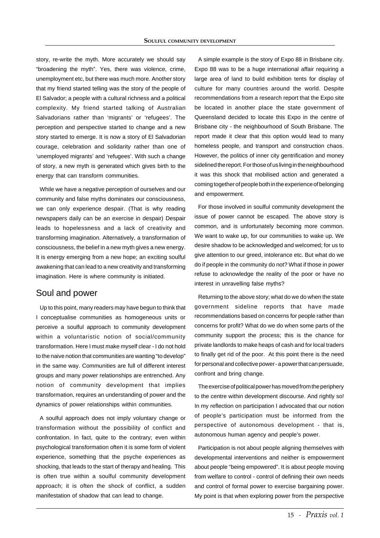story, re-write the myth. More accurately we should say "broadening the myth". Yes, there was violence, crime, unemployment etc, but there was much more. Another story that my friend started telling was the story of the people of El Salvador; a people with a cultural richness and a political complexity. My friend started talking of Australian Salvadorians rather than 'migrants' or 'refugees'. The perception and perspective started to change and a new story started to emerge. It is now a story of El Salvadorian courage, celebration and solidarity rather than one of 'unemployed migrants' and 'refugees'. With such a change of story, a new myth is generated which gives birth to the energy that can transform communities.

While we have a negative perception of ourselves and our community and false myths dominates our consciousness, we can only experience despair. (That is why reading newspapers daily can be an exercise in despair) Despair leads to hopelessness and a lack of creativity and transforming imagination. Alternatively, a transformation of consciousness, the belief in a new myth gives a new energy. It is energy emerging from a new hope; an exciting soulful awakening that can lead to a new creativity and transforming imagination. Here is where community is initiated.

#### Soul and power

Up to this point, many readers may have begun to think that I conceptualise communities as homogeneous units or perceive a soulful approach to community development within a voluntaristic notion of social/community transformation. Here I must make myself clear - I do not hold to the naive notion that communities are wanting "to develop" in the same way. Communities are full of different interest groups and many power relationships are entrenched. Any notion of community development that implies transformation, requires an understanding of power and the dynamics of power relationships within communities.

A soulful approach does not imply voluntary change or transformation without the possibility of conflict and confrontation. In fact, quite to the contrary; even within psychological transformation often it is some form of violent experience, something that the psyche experiences as shocking, that leads to the start of therapy and healing. This is often true within a soulful community development approach; it is often the shock of conflict, a sudden manifestation of shadow that can lead to change.

A simple example is the story of Expo 88 in Brisbane city. Expo 88 was to be a huge international affair requiring a large area of land to build exhibition tents for display of culture for many countries around the world. Despite recommendations from a research report that the Expo site be located in another place the state government of Queensland decided to locate this Expo in the centre of Brisbane city - the neighbourhood of South Brisbane. The report made it clear that this option would lead to many homeless people, and transport and construction chaos. However, the politics of inner city gentrification and money sidelined the report. For those of us living in the neighbourhood it was this shock that mobilised action and generated a coming together of people both in the experience of belonging and empowerment.

For those involved in soulful community development the issue of power cannot be escaped. The above story is common, and is unfortunately becoming more common. We want to wake up, for our communities to wake up. We desire shadow to be acknowledged and welcomed; for us to give attention to our greed, intolerance etc. But what do we do if people in the community do not? What if those in power refuse to acknowledge the reality of the poor or have no interest in unravelling false myths?

Returning to the above story; what do we do when the state government sideline reports that have made recommendations based on concerns for people rather than concerns for profit? What do we do when some parts of the community support the process; this is the chance for private landlords to make heaps of cash and for local traders to finally get rid of the poor. At this point there is the need for personal and collective power - a power that can persuade, confront and bring change.

The exercise of political power has moved from the periphery to the centre within development discourse. And rightly so! In my reflection on participation I advocated that our notion of people's participation must be informed from the perspective of autonomous development - that is, autonomous human agency and people's power.

Participation is not about people aligning themselves with developmental interventions and neither is empowerment about people "being empowered". It is about people moving from welfare to control - control of defining their own needs and control of formal power to exercise bargaining power. My point is that when exploring power from the perspective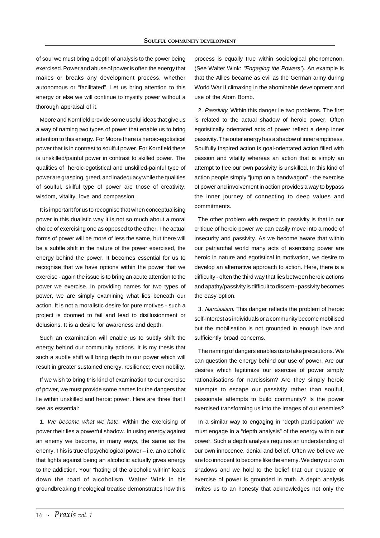of soul we must bring a depth of analysis to the power being exercised. Power and abuse of power is often the energy that makes or breaks any development process, whether autonomous or "facilitated". Let us bring attention to this energy or else we will continue to mystify power without a thorough appraisal of it.

Moore and Kornfield provide some useful ideas that give us a way of naming two types of power that enable us to bring attention to this energy. For Moore there is heroic-egotistical power that is in contrast to soulful power. For Kornfield there is unskilled/painful power in contrast to skilled power. The qualities of heroic-egotistical and unskilled-painful type of power are grasping, greed, and inadequacy while the qualities of soulful, skilful type of power are those of creativity, wisdom, vitality, love and compassion.

It is important for us to recognise that when conceptualising power in this dualistic way it is not so much about a moral choice of exercising one as opposed to the other. The actual forms of power will be more of less the same, but there will be a subtle shift in the nature of the power exercised, the energy behind the power. It becomes essential for us to recognise that we have options within the power that we exercise - again the issue is to bring an acute attention to the power we exercise. In providing names for two types of power, we are simply examining what lies beneath our action. It is not a moralistic desire for pure motives - such a project is doomed to fail and lead to disillusionment or delusions. It is a desire for awareness and depth.

Such an examination will enable us to subtly shift the energy behind our community actions. It is my thesis that such a subtle shift will bring depth to our power which will result in greater sustained energy, resilience; even nobility.

If we wish to bring this kind of examination to our exercise of power, we must provide some names for the dangers that lie within unskilled and heroic power. Here are three that I see as essential:

1. We become what we hate. Within the exercising of power their lies a powerful shadow. In using energy against an enemy we become, in many ways, the same as the enemy. This is true of psychological power – i.e. an alcoholic that fights against being an alcoholic actually gives energy to the addiction. Your "hating of the alcoholic within" leads down the road of alcoholism. Walter Wink in his groundbreaking theological treatise demonstrates how this

process is equally true within sociological phenomenon. (See Walter Wink: "Engaging the Powers"). An example is that the Allies became as evil as the German army during World War II climaxing in the abominable development and use of the Atom Bomb.

2. Passivity. Within this danger lie two problems. The first is related to the actual shadow of heroic power. Often egotistically orientated acts of power reflect a deep inner passivity. The outer energy has a shadow of inner emptiness. Soulfully inspired action is goal-orientated action filled with passion and vitality whereas an action that is simply an attempt to flee our own passivity is unskilled. In this kind of action people simply "jump on a bandwagon" - the exercise of power and involvement in action provides a way to bypass the inner journey of connecting to deep values and commitments.

The other problem with respect to passivity is that in our critique of heroic power we can easily move into a mode of insecurity and passivity. As we become aware that within our patriarchal world many acts of exercising power are heroic in nature and egotistical in motivation, we desire to develop an alternative approach to action. Here, there is a difficulty - often the third way that lies between heroic actions and apathy/passivity is difficult to discern - passivity becomes the easy option.

3. Narcissism. This danger reflects the problem of heroic self-interest as individuals or a community become mobilised but the mobilisation is not grounded in enough love and sufficiently broad concerns.

The naming of dangers enables us to take precautions. We can question the energy behind our use of power. Are our desires which legitimize our exercise of power simply rationalisations for narcissism? Are they simply heroic attempts to escape our passivity rather than soulful, passionate attempts to build community? Is the power exercised transforming us into the images of our enemies?

In a similar way to engaging in "depth participation" we must engage in a "depth analysis" of the energy within our power. Such a depth analysis requires an understanding of our own innocence, denial and belief. Often we believe we are too innocent to become like the enemy. We deny our own shadows and we hold to the belief that our crusade or exercise of power is grounded in truth. A depth analysis invites us to an honesty that acknowledges not only the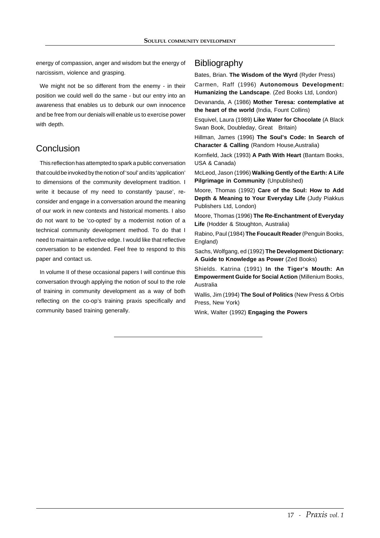energy of compassion, anger and wisdom but the energy of narcissism, violence and grasping.

We might not be so different from the enemy - in their position we could well do the same - but our entry into an awareness that enables us to debunk our own innocence and be free from our denials will enable us to exercise power with depth.

# Conclusion

This reflection has attempted to spark a public conversation that could be invoked by the notion of 'soul' and its 'application' to dimensions of the community development tradition. I write it because of my need to constantly 'pause', reconsider and engage in a conversation around the meaning of our work in new contexts and historical moments. I also do not want to be 'co-opted' by a modernist notion of a technical community development method. To do that I need to maintain a reflective edge. I would like that reflective conversation to be extended. Feel free to respond to this paper and contact us.

In volume II of these occasional papers I will continue this conversation through applying the notion of soul to the role of training in community development as a way of both reflecting on the co-op's training praxis specifically and community based training generally.

# **Bibliography**

Bates, Brian. **The Wisdom of the Wyrd** (Ryder Press)

Carmen, Raff (1996) **Autonomous Development: Humanizing the Landscape**. (Zed Books Ltd, London)

Devananda, A (1986) **Mother Teresa: contemplative at the heart of the world** (India, Fount Collins)

Esquivel, Laura (1989) **Like Water for Chocolate** (A Black Swan Book, Doubleday, Great Britain)

Hillman, James (1996) **The Soul's Code: In Search of Character & Calling** (Random House,Australia)

Kornfield, Jack (1993) **A Path With Heart** (Bantam Books, USA & Canada)

McLeod, Jason (1996) **Walking Gently of the Earth: A Life Pilgrimage in Community** (Unpublished)

Moore, Thomas (1992) **Care of the Soul: How to Add Depth & Meaning to Your Everyday Life** (Judy Piakkus Publishers Ltd, London)

Moore, Thomas (1996) **The Re-Enchantment of Everyday Life** (Hodder & Stoughton, Australia)

Rabino, Paul (1984) **The Foucault Reader** (Penguin Books, England)

Sachs, Wolfgang, ed (1992) **The Development Dictionary: A Guide to Knowledge as Power** (Zed Books)

Shields. Katrina (1991) **In the Tiger's Mouth: An Empowerment Guide for Social Action** (Millenium Books, Australia

Wallis, Jim (1994) **The Soul of Politics** (New Press & Orbis Press, New York)

Wink, Walter (1992) **Engaging the Powers**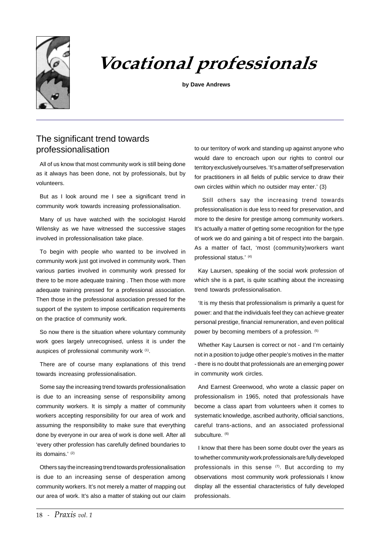

# Vocational professionals

**by Dave Andrews**

# The significant trend towards professionalisation

All of us know that most community work is still being done as it always has been done, not by professionals, but by volunteers.

But as I look around me I see a significant trend in community work towards increasing professionalisation.

Many of us have watched with the sociologist Harold Wilensky as we have witnessed the successive stages involved in professionalisation take place.

To begin with people who wanted to be involved in community work just got involved in community work. Then various parties involved in community work pressed for there to be more adequate training . Then those with more adequate training pressed for a professional association. Then those in the professional association pressed for the support of the system to impose certification requirements on the practice of community work.

So now there is the situation where voluntary community work goes largely unrecognised, unless it is under the auspices of professional community work (1).

There are of course many explanations of this trend towards increasing professionalisation.

Some say the increasing trend towards professionalisation is due to an increasing sense of responsibility among community workers. It is simply a matter of community workers accepting responsibility for our area of work and assuming the responsibility to make sure that everything done by everyone in our area of work is done well. After all 'every other profession has carefully defined boundaries to its domains.' (2)

Others say the increasing trend towards professionalisation is due to an increasing sense of desperation among community workers. It's not merely a matter of mapping out our area of work. It's also a matter of staking out our claim to our territory of work and standing up against anyone who would dare to encroach upon our rights to control our territory exclusively ourselves. 'It's a matter of self preservation for practitioners in all fields of public service to draw their own circles within which no outsider may enter.' (3)

 Still others say the increasing trend towards professionalisation is due less to need for preservation, and more to the desire for prestige among community workers. It's actually a matter of getting some recognition for the type of work we do and gaining a bit of respect into the bargain. As a matter of fact, 'most (community)workers want professional status.' (4)

Kay Laursen, speaking of the social work profession of which she is a part, is quite scathing about the increasing trend towards professionalisation.

'It is my thesis that professionalism is primarily a quest for power: and that the individuals feel they can achieve greater personal prestige, financial remuneration, and even political power by becoming members of a profession. (5)

Whether Kay Laursen is correct or not - and I'm certainly not in a position to judge other people's motives in the matter - there is no doubt that professionals are an emerging power in community work circles.

And Earnest Greenwood, who wrote a classic paper on professionalism in 1965, noted that professionals have become a class apart from volunteers when it comes to systematic knowledge, ascribed authority, official sanctions, careful trans-actions, and an associated professional subculture. (6)

I know that there has been some doubt over the years as to whether community work professionals are fully developed professionals in this sense  $(7)$ . But according to my observations most community work professionals I know display all the essential characteristics of fully developed professionals.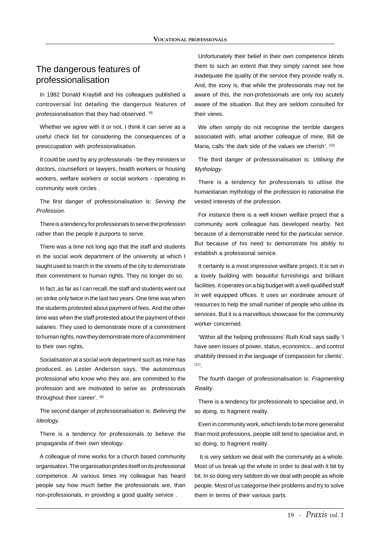# The dangerous features of professionalisation

In 1982 Donald Kraybill and his colleagues published a controversial list detailing the dangerous features of professionalisation that they had observed. (8)

Whether we agree with it or not, I think it can serve as a useful check list for considering the consequences of a preoccupation with professionalisation.

It could be used by any professionals - be they ministers or doctors, counsellors or lawyers, health workers or housing workers, welfare workers or social workers - operating in community work circles .

The first danger of professionalisation is: Serving the Profession.

There is a tendency for professionals to serve the profession rather than the people it purports to serve.

There was a time not long ago that the staff and students in the social work department of the university at which I taught used to march in the streets of the city to demonstrate their commitment to human rights. They no longer do so.

In fact ,as far as I can recall, the staff and students went out on strike only twice in the last two years. One time was when the students protested about payment of fees. And the other time was when the staff protested about the payment of their salaries. They used to demonstrate more of a commitment to human rights, now they demonstrate more of a commitment to their own rights.

Socialisation at a social work department such as mine has produced, as Lester Anderson says, 'the autonomous professional who know who they are, are committed to the profession and are motivated to serve as professionals throughout their career'. (9)

The second danger of professionalisation is: Believing the Ideology.

There is a tendency for professionals to believe the propaganda of their own ideology.

A colleague of mine works for a church based community organisation. The organisation prides itself on its professional competence. At various times my colleague has heard people say how much better the professionals are, than non-professionals, in providing a good quality service .

Unfortunately their belief in their own competence blinds them to such an extent that they simply cannot see how inadequate the quality of the service they provide really is. And, the irony is, that while the professionals may not be aware of this, the non-professionals are only too acutely aware of the situation. But they are seldom consulted for their views.

We often simply do not recognise the terrible dangers associated with, what another colleague of mine, Bill de Maria, calls 'the dark side of the values we cherish'. (10)

The third danger of professionalisation is: Utilising the Mythology.

There is a tendency for professionals to utilise the humanitarian mythology of the profession to rationalise the vested interests of the profession.

For instance there is a well known welfare project that a community work colleague has developed nearby. Not because of a demonstrable need for the particular service. But because of his need to demonstrate his ability to establish a professional service.

It certainly is a most impressive welfare project. It is set in a lovely building with beautiful furnishings and brilliant facilities. It operates on a big budget with a well qualified staff in well equipped offices. It uses an inordinate amount of resources to help the small number of people who utilise its services. But it is a marvellous showcase for the community worker concerned.

'Within all the helping professions' Ruth Krall says sadly 'I have seen issues of power, status, economics... and control shabbily dressed in the language of compassion for clients'.  $(11)$ 

The fourth danger of professionalisation is: Fragmenting Reality.

There is a tendency for professionals to specialise and, in so doing, to fragment reality.

Even in community work, which tends to be more generalist than most professions, people still tend to specialise and, in so doing, to fragment reality.

 It is very seldom we deal with the community as a whole. Most of us break up the whole in order to deal with it bit by bit. In so doing very seldom do we deal with people as whole people. Most of us categorise their problems and try to solve them in terms of their various parts.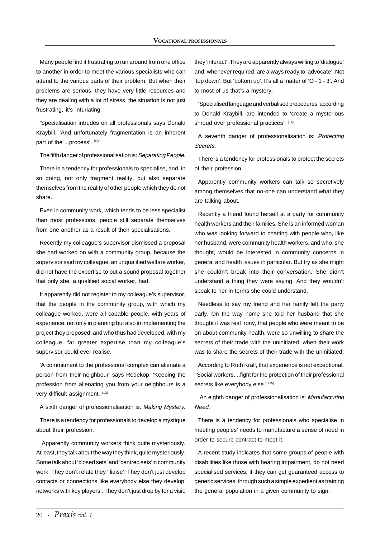Many people find it frustrating to run around from one office to another in order to meet the various specialists who can attend to the various parts of their problem. But when their problems are serious, they have very little resources and they are dealing with a lot of stress, the situation is not just frustrating, it's infuriating.

'Specialisation intrudes on all professionals says Donald Kraybill. 'And unfortunately fragmentation is an inherent part of the ...process'. (12)

The fifth danger of professionalisation is: Separating People.

There is a tendency for professionals to specialise, and, in so doing, not only fragment reality, but also separate themselves from the reality of other people which they do not share.

Even in community work, which tends to be less specialist than most professions, people still separate themselves from one another as a result of their specialisations.

Recently my colleague's supervisor dismissed a proposal she had worked on with a community group, because the supervisor said my colleague, an unqualified welfare worker, did not have the expertise to put a sound proposal together that only she, a qualified social worker, had.

It apparently did not register to my colleague's supervisor, that the people in the community group, with which my colleague worked, were all capable people, with years of experience, not only in planning but also in implementing the project they proposed, and who thus had developed, with my colleague, far greater expertise than my colleague's supervisor could ever realise.

'A commitment to the professional complex can alienate a person from their neighbour' says Redekop. 'Keeping the profession from alienating you from your neighbours is a very difficult assignment. (13)

A sixth danger of professionalisation is: Making Mystery.

There is a tendency for professionals to develop a mystique about their profession.

 Apparently community workers think quite mysteriously. At least, they talk about the way they think, quite mysteriously. Some talk about 'closed sets' and 'centred sets'in community work. They don't relate they ' liaise'. They don't just develop contacts or connections like everybody else they develop' networks with key players'. They don't just drop by for a visit: they 'interact'. They are apparently always willing to 'dialogue' and, whenever required, are always ready to 'advocate'. Not 'top down'. But 'bottom up'. It's all a matter of 'O - 1 - 3'. And to most of us that's a mystery.

'Specialised language and verbalised procedures' according to Donald Kraybill, are intended to 'create a mysterious shroud over professional practices',  $(14)$ 

A seventh danger of professionalisation is: Protecting Secrets.

There is a tendency for professionals to protect the secrets of their profession.

Apparently community workers can talk so secretively among themselves that no-one can understand what they are talking about.

Recently a friend found herself at a party for community health workers and their families. She is an informed woman who was looking forward to chatting with people who, like her husband, were community health workers, and who, she thought, would be interested in community concerns in general and health issues in particular. But try as she might she couldn't break into their conversation. She didn't understand a thing they were saying. And they wouldn't speak to her in terms she could understand.

Needless to say my friend and her family left the party early. On the way home she told her husband that she thought it was real irony, that people who were meant to be on about community health, were so unwilling to share the secrets of their trade with the uninitiated, when their work was to share the secrets of their trade with the uninitiated.

According to Ruth Krall, that experience is not exceptional. ' Social workers....fight for the protection of their professional secrets like everybody else.' (15)

 An eighth danger of professionalisation is: Manufacturing Need.

There is a tendency for professionals who specialise in meeting peoples' needs to manufacture a sense of need in order to secure contract to meet it.

A recent study indicates that some groups of people with disabilities like those with hearing impairment, do not need specialised services, if they can get guaranteed access to generic services, through such a simple expedient as training the general population in a given community to sign.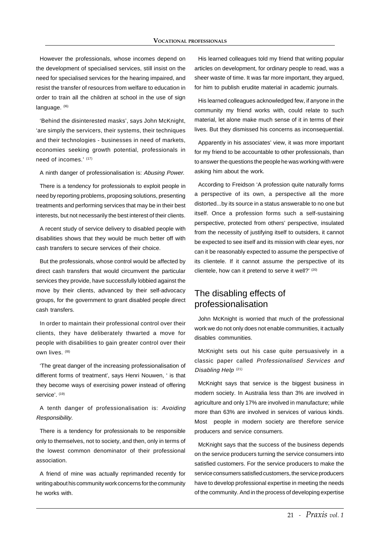However the professionals, whose incomes depend on the development of specialised services, still insist on the need for specialised services for the hearing impaired, and resist the transfer of resources from welfare to education in order to train all the children at school in the use of sign language. (16)

'Behind the disinterested masks', says John McKnight, 'are simply the servicers, their systems, their techniques and their technologies - businesses in need of markets, economies seeking growth potential, professionals in need of incomes.' (17)

A ninth danger of professionalisation is: Abusing Power.

There is a tendency for professionals to exploit people in need by reporting problems, proposing solutions, presenting treatments and performing services that may be in their best interests, but not necessarily the best interest of their clients.

A recent study of service delivery to disabled people with disabilities shows that they would be much better off with cash transfers to secure services of their choice.

But the professionals, whose control would be affected by direct cash transfers that would circumvent the particular services they provide, have successfully lobbied against the move by their clients, advanced by their self-advocacy groups, for the government to grant disabled people direct cash transfers.

In order to maintain their professional control over their clients, they have deliberately thwarted a move for people with disabilities to gain greater control over their own lives. (18)

'The great danger of the increasing professionalisation of different forms of treatment', says Henri Nouwen, ' is that they become ways of exercising power instead of offering service'. (19)

A tenth danger of professionalisation is: Avoiding Responsibility.

There is a tendency for professionals to be responsible only to themselves, not to society, and then, only in terms of the lowest common denominator of their professional association.

A friend of mine was actually reprimanded recently for writing about his community work concerns for the community he works with.

His learned colleagues told my friend that writing popular articles on development, for ordinary people to read, was a sheer waste of time. It was far more important, they argued, for him to publish erudite material in academic journals.

His learned colleagues acknowledged few, if anyone in the community my friend works with, could relate to such material, let alone make much sense of it in terms of their lives. But they dismissed his concerns as inconsequential.

Apparently in his associates' view, it was more important for my friend to be accountable to other professionals, than to answer the questions the people he was working with were asking him about the work.

According to Freidson 'A profession quite naturally forms a perspective of its own, a perspective all the more distorted...by its source in a status answerable to no one but itself. Once a profession forms such a self-sustaining perspective, protected from others' perspective, insulated from the necessity of justifying itself to outsiders, it cannot be expected to see itself and its mission with clear eyes, nor can it be reasonably expected to assume the perspective of its clientele. If it cannot assume the perspective of its clientele, how can it pretend to serve it well?' (20)

# The disabling effects of professionalisation

John McKnight is worried that much of the professional work we do not only does not enable communities, it actually disables communities.

McKnight sets out his case quite persuasively in a classic paper called Professionalised Services and Disabling Help<sup>(21)</sup>

McKnight says that service is the biggest business in modern society. In Australia less than 3% are involved in agriculture and only 17% are involved in manufacture; while more than 63% are involved in services of various kinds. Most people in modern society are therefore service producers and service consumers.

McKnight says that the success of the business depends on the service producers turning the service consumers into satisfied customers. For the service producers to make the service consumers satisfied customers, the service producers have to develop professional expertise in meeting the needs of the community. And in the process of developing expertise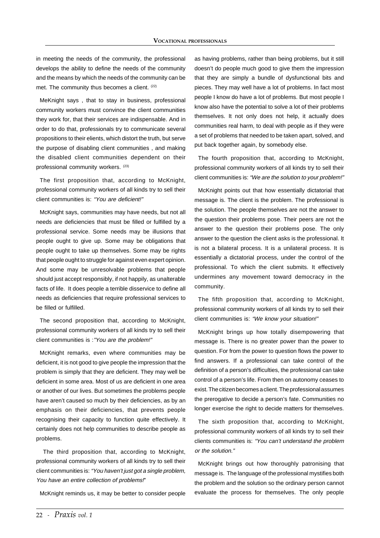in meeting the needs of the community, the professional develops the ability to define the needs of the community and the means by which the needs of the community can be met. The community thus becomes a client. (22)

MeKnight says , that to stay in business, professional community workers must convince the client communities they work for, that their services are indispensable. And in order to do that, professionals try to communicate several propositions to their elients, which distort the truth, but serve the purpose of disabling client communities , and making the disabled client communities dependent on their professional community workers. (23)

The first proposition that, according to McKnight, professional community workers of all kinds try to sell their client communities is: "You are deficient!"

McKnight says, communities may have needs, but not all needs are deficiencies that must be filled or fulfilled by a professional service. Some needs may be illusions that people ought to give up. Some may be obligations that people ought to take up themselves. Some may be rights that people ought to struggle for against even expert opinion. And some may be unresolvable problems that people should just accept responsibly, if not happily, as unalterable facts of life. It does people a terrible disservice to define all needs as deficiencies that require professional services to be filled or fulfilled.

The second proposition that, according to McKnight, professional community workers of all kinds try to sell their client communities is :"You are the problem!"

McKnight remarks, even where communities may be deficient, it is not good to give people the impression that the problem is simply that they are deficient. They may well be deficient in some area. Most of us are deficient in one area or another of our lives. But sometimes the problems people have aren't caused so much by their deficiencies, as by an emphasis on their deficiencies, that prevents people recognising their capacity to function quite effectively. It certainly does not help communities to describe people as problems.

 The third proposition that, according to McKnight, professional community workers of all kinds try to sell their client communities is: "You haven't just got a single problem, You have an entire collection of problems!"

McKnight reminds us, it may be better to consider people

as having problems, rather than being problems, but it still doesn't do people much good to give them the impression that they are simply a bundle of dysfunctional bits and pieces. They may well have a lot of problems. In fact most people I know do have a lot of problems. But most people I know also have the potential to solve a lot of their problems themselves. It not only does not help, it actually does communities real harm, to deal with people as if they were a set of problems that needed to be taken apart, solved, and put back together again, by somebody else.

The fourth proposition that, according to McKnight, professional community workers of all kinds try to sell their client communities is: "We are the solution to your problem!"

McKnight points out that how essentially dictatorial that message is. The client is the problem. The professional is the solution. The people themselves are not the answer to the question their problems pose. Their peers are not the answer to the question their problems pose. The only answer to the question the client asks is the professional. It is not a bilateral process. It is a unilateral process. It is essentially a dictatorial process, under the control of the professional. To which the client submits. It effectively undermines any movement toward democracy in the community.

The fifth proposition that, according to McKnight, professional community workers of all kinds try to sell their client communities is: "We know your situation!"

McKnight brings up how totally disempowering that message is. There is no greater power than the power to question. For from the power to question flows the power to find answers. If a professional can take control of the definition of a person's difficulties, the professional can take control of a person's life. From then on autonomy ceases to exist. The citizen becomes a client. The professional assumes the prerogative to decide a person's fate. Communities no longer exercise the right to decide matters for themselves.

The sixth proposition that, according to McKnight, professional community workers of all kinds try to sell their clients communities is: "You can't understand the problem or the solution."

McKnight brings out how thoroughly patronising that message is. The language of the professional mystifies both the problem and the solution so the ordinary person cannot evaluate the process for themselves. The only people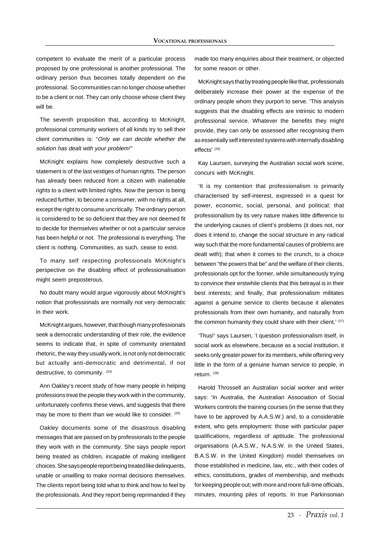competent to evaluate the merit of a particular process proposed by one professional is another professional. The ordinary person thus becomes totally dependent on the professional. So communities can no longer choose whether to be a client or not. They can only choose whose client they will be.

The seventh proposition that, according to McKnight, professional community workers of all kinds try to sell their client communities is: "Only we can decide whether the solution has dealt with your problem!"

McKnight explains how completely destructive such a statement is of the last vestiges of human rights. The person has already been reduced from a citizen with inalienable rights to a client with limited rights. Now the person is being reduced further, to become a consumer, with no rights at all, except the right to consume uncritically. The ordinary person is considered to be so deficient that they are not deemed fit to decide for themselves whether or not a particular service has been helpful or not. The professional is everything. The client is nothing. Communities, as such, cease to exist.

To many self respecting professionals McKnight's perspective on the disabling effect of professionalisation might seem preposterous.

No doubt many would argue vigorously about McKnight's notion that professionals are normally not very democratic in their work.

McKnight argues, however, that though many professionals seek a democratic understanding of their role, the evidence seems to indicate that, in spite of community orientated rhetoric, the way they usually work, is not only not democratic but actually anti-democratic and detrimental, if not destructive, to community. (24)

Ann Oakley's recent study of how many people in helping professions treat the people they work with in the community, unfortunately confirms these views, and suggests that there may be more to them than we would like to consider. (25)

Oakley documents some of the disastrous disabling messages that are passed on by professionals to the people they work with in the community. She says people report being treated as children, incapable of making intelligent choices. She says people report being treated like delinquents, unable or unwilling to make normal decisions themselves. The clients report being told what to think and how to feel by the professionals. And they report being reprimanded if they

made too many enquiries about their treatment, or objected for some reason or other.

McKnight says that by treating people like that, professionals deliberately increase their power at the expense of the ordinary people whom they purport to serve. 'This analysis suggests that the disabling effects are intrinsic to modern professional service. Whatever the benefits they might provide, they can only be assessed after recognising them as essentially self interested systems with internally disabling effects' (26)

Kay Laursen, surveying the Australian social work scene, concurs with McKnight.

'It is my contention that professionalism is primarily characterised by self-interest, expressed in a quest for power, economic, social, personal, and political; that professionalism by its very nature makes little difference to the underlying causes of client's problems (it does not, nor does it intend to, change the social structure in any radical way such that the more fundamental causes of problems are dealt with); that when it comes to the crunch, to a choice between "the powers that be" and the welfare of their clients, professionals opt for the former, while simultaneously trying to convince their erstwhile clients that this betrayal is in their best interests; and finally, that professionalism militates against a genuine service to clients because it alienates professionals from their own humanity, and naturally from the common humanity they could share with their client.' (27)

'Thus!' says Laursen, 'I question professionalism itself, in social work as elsewhere, because as a social institution, it seeks only greater power for its members, while offering very little in the form of a genuine human service to people, in return. (28)

Harold Throssell an Australian social worker and writer says: 'In Australia, the Australian Association of Social Workers controls the training courses (in the sense that they have to be approved by A.A.S.W.) and, to a considerable extent, who gets employment: those with particular paper qualifications, regardless of aptitude. The professional organisations (A.A.S.W., N.A.S.W. in the United States, B.A.S.W. in the United Kingdom) model themselves on those established in medicine, law, etc., with their codes of ethics, constitutions, grades of membership, and methods for keeping people out; with more and more full-time officials, minutes, mounting piles of reports. In true Parkinsonian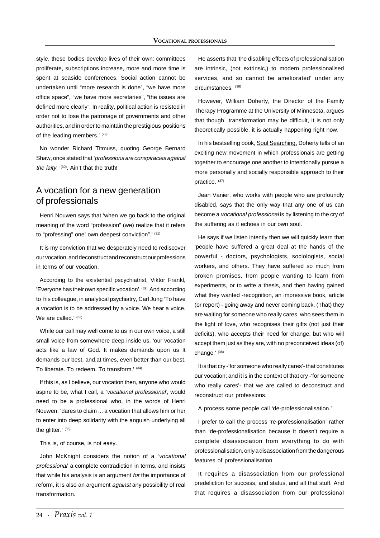style, these bodies develop lives of their own: committees proliferate, subscriptions increase, more and more time is spent at seaside conferences. Social action cannot be undertaken until "more research is done", "we have more office space", "we have more secretaries", "the issues are defined more clearly". In reality, political action is resisted in order not to lose the patronage of governments and other authorities, and in order to maintain the prestigious positions of the leading members.' (29)

No wonder Richard Titmuss, quoting George Bernard Shaw, once stated that 'professions are conspiracies against the laity.'  $(30)$ . Ain't that the truth!

### A vocation for a new generation of professionals

Henri Nouwen says that 'when we go back to the original meaning of the word "profession" (we) realize that it refers to "professing" one' own deepest conviction".' (31)

It is my conviction that we desperately need to rediscover our vocation, and deconstruct and reconstruct our professions in terms of our vocation.

According to the existential pscychiatrist, Viktor Frankl, 'Everyone has their own specific vocation'. (32) And according to his colleague, in analytical psychiatry, Carl Jung 'To have a vocation is to be addressed by a voice. We hear a voice. We are called.' (33)

While our call may well come to us in our own voice, a still small voice from somewhere deep inside us, 'our vocation acts like a law of God. It makes demands upon us It demands our best, and,at times, even better than our best. To liberate. To redeem. To transform.' (34)

If this is, as I believe, our vocation then, anyone who would aspire to be, what I call, a 'vocational professional', would need to be a professional who, in the words of Henri Nouwen, 'dares to claim ... a vocation that allows him or her to enter into deep solidarity with the anguish underlying all the glitter.' (35)

This is, of course, is not easy.

John McKnight considers the notion of a 'vocational professional' a complete contradiction in terms, and insists that while his analysis is an argument for the importance of reform, it is also an argument *against* any possibility of real transformation.

He asserts that 'the disabling effects of professionalisation are intrinsic, (not extrinsic,) to modern professionalised services, and so cannot be ameliorated' under any circumstances. (36)

However, William Doherty, the Director of the Family Therapy Programme at the University of Minnesota, argues that though transformation may be difficult, it is not only theoretically possible, it is actually happening right now.

In his bestselling book, Soul Searching, Doherty tells of an exciting new movement in which professionals are getting together to encourage one another to intentionally pursue a more personally and socially responsible approach to their practice. (37)

Jean Vanier, who works with people who are profoundly disabled, says that the only way that any one of us can become a vocational professional is by listening to the cry of the suffering as it echoes in our own soul.

He says if we listen intently then we will quickly learn that 'people have suffered a great deal at the hands of the powerful - doctors, psychologists, sociologists, social workers, and others. They have suffered so much from broken promises, from people wanting to learn from experiments, or to write a thesis, and then having gained what they wanted -recognition, an impressive book, article (or report) - going away and never coming back. (That) they are waiting for someone who really cares, who sees them in the light of love, who recognises their gifts (not just their deficits), who accepts their need for change, but who will accept them just as they are, with no preconceived ideas (of) change.' (38)

It is that cry -'for someone who really cares'- that constitutes our vocation; and it is in the context of that cry -'for someone who really cares'- that we are called to deconstruct and reconstruct our professions.

A process some people call 'de-professionalisation.'

I prefer to call the process 're-professionalisation' rather than 'de-professionalisation because it doesn't require a complete disassociation from everything to do with professionalisation, only a disassociation from the dangerous features of professionalisation.

It requires a disassociation from our professional predeliction for success, and status, and all that stuff. And that requires a disassociation from our professional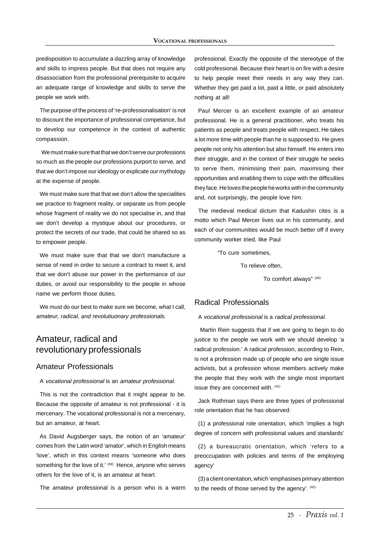predisposition to accumulate a dazzling array of knowledge and skills to impress people. But that does not require any disassociation from the professional prerequisite to acquire an adequate range of knowledge and skills to serve the people we work with.

The purpose of the process of 're-professionalisation' is not to discount the importance of professional competance, but to develop our competence in the context of authentic compassion.

 We must make sure that that we don't serve our professions so much as the people our professions purport to serve, and that we don't impose our ideology or explicate our mythology at the expense of people.

We must make sure that that we don't allow the specialities we practice to fragment reality, or separate us from people whose fragment of reality we do not specialise in, and that we don't develop a mystique about our procedures, or protect the secrets of our trade, that could be shared so as to empower people.

We must make sure that that we don't manufacture a sense of need in order to secure a contract to meet it, and that we don't abuse our power in the performance of our duties, or avoid our responsibility to the people in whose name we perform those duties.

We must do our best to make sure we become, what I call, amateur, radical, and revolutiuonary professionals.

# Amateur, radical and revolutionary professionals

#### Amateur Professionals

#### A vocational professional is an amateur professional.

This is not the contradiction that it might appear to be. Because the opposite of amateur is not professional - it is mercenary. The vocational professional is not a mercenary, but an amateur, at heart.

As David Augsberger says, the notion of an 'amateur' comes from the Latin word 'amator', which in English means 'love', which in this context means 'someone who does something for the love of it.' (39) Hence, anyone who serves others for the love of it, is an amateur at heart.

The amateur professional is a person who is a warm

professional. Exactly the opposite of the stereotype of the cold professional. Because their heart is on fire with a desire to help people meet their needs in any way they can. Whether they get paid a lot, paid a little, or paid absolutely nothing at all!

Paul Mercer is an excellent example of an amateur professional. He is a general practitioner, who treats his patients as people and treats people with respect. He takes a lot more time with people than he is supposed to. He gives people not only his attention but also himself. He enters into their struggle, and in the context of their struggle he seeks to serve them, minimising their pain, maximising their opportunities and enabling them to cope with the difficulties they face. He loves the people he works with in the community and, not surprisingly, the people love him.

The medieval medical dictum that Kadushin cites is a motto which Paul Mercer lives out in his community, and each of our communities would be much better off if every community worker tried, like Paul

"To cure sometimes,

To relieve often,

To comfort always" (40)

#### Radical Professionals

#### A vocational professional is a radical professional.

 Martin Rein suggests that if we are going to begin to do justice to the people we work with we should develop 'a radical profession.' A radical profession, according to Rein, is not a profession made up of people who are single issue activists, but a profession whose members actively make the people that they work with the single most important issue they are concerned with. (41)

Jack Rothman says there are three types of professional role orientation that he has observed:

(1) a professional role orientation, which 'implies a high degree of concern with professional values and standards'

(2) a bureaucratic orientation, which 'refers to a preoccupation with policies and terms of the employing agency'

(3) a client orientation, which 'emphasises primary attention to the needs of those served by the agency'. (42)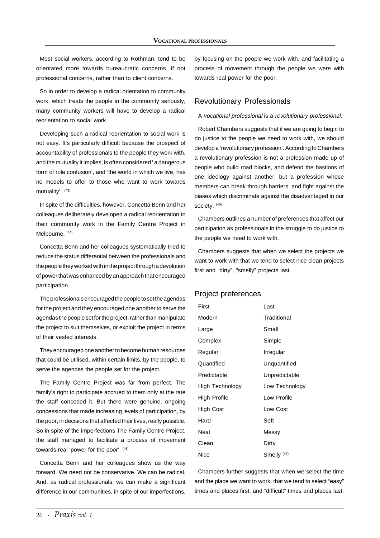Most social workers, according to Rothman, tend to be orientated more towards bureaucratic concerns, if not professional concerns, rather than to client concerns.

So in order to develop a radical orientation to community work, which treats the people in the community seriously, many community workers will have to develop a radical reorientation to social work.

Developing such a radical reorientation to social work is not easy. It's particularly difficult because the prospect of accountability of professionals to the people they work with, and the mutuality it implies, is often considered ' a dangerous form of role confusion', and 'the world in which we live, has no models to offer to those who want to work towards mutuality'. (43)

In spite of the difficulties, however, Concetta Benn and her colleagues deliberately developed a radical reorientation to their community work in the Family Centre Project in Melbourne. (44)

Concetta Benn and her colleagues systematically tried to reduce the status differential between the professionals and the people they worked with in the project through a devolution of power that was enhanced by an approach that encouraged participation.

The professionals encouraged the people to set the agendas for the project and they encouraged one another to serve the agendas the people set for the project, rather than manipulate the project to suit themselves, or exploit the project in terms of their vested interests.

They encouraged one another to become human resources that could be utilised, within certain limits, by the people, to serve the agendas the people set for the project.

The Family Centre Project was far from perfect. The family's right to participate accrued to them only at the rate the staff conceded it. But there were genuine, ongoing concessions that made increasing levels of participation, by the poor, in decisions that affected their lives, really possible. So in spite of the imperfections The Family Centre Project, the staff managed to facilitate a process of movement towards real 'power for the poor'. (45)

Concetta Benn and her colleagues show us the way forward. We need not be conservative. We can be radical. And, as radical professionals, we can make a significant difference in our communities, in spite of our imperfections,

by focusing on the people we work with, and facilitating a process of movement through the people we were with towards real power for the poor.

#### Revolutionary Professionals

#### A vocational professional is a revolutionary professional.

Robert Chambers suggests that if we are going to begin to do justice to the people we need to work with, we should develop a 'revolutionary profession'. According to Chambers a revolutionary profession is not a profession made up of people who build road blocks, and defend the bastions of one ideology against another, but a profession whose members can break through barriers, and fight against the biases which discriminate against the disadvantaged in our society. (46)

Chambers outlines a number of preferences that affect our participation as professionals in the struggle to do justice to the people we need to work with.

Chambers suggests that when we select the projects we want to work with that we tend to select nice clean projects first and "dirty", "smelly" projects last.

#### Project preferences

| First           | Last                   |
|-----------------|------------------------|
| Modern          | Traditional            |
| Large           | Small                  |
| Complex         | Simple                 |
| Regular         | Irregular              |
| Quantified      | Unquantified           |
| Predictable     | Unpredictable          |
| High Technology | Low Technology         |
| High Profile    | Low Profile            |
| High Cost       | Low Cost               |
| Hard            | Soft                   |
| Neat            | Messy                  |
| Clean           | Dirty                  |
| Nice            | Smelly <sup>(47)</sup> |

Chambers further suggests that when we select the time and the place we want to work, that we tend to select "easy" times and places first, and "difficult" times and places last.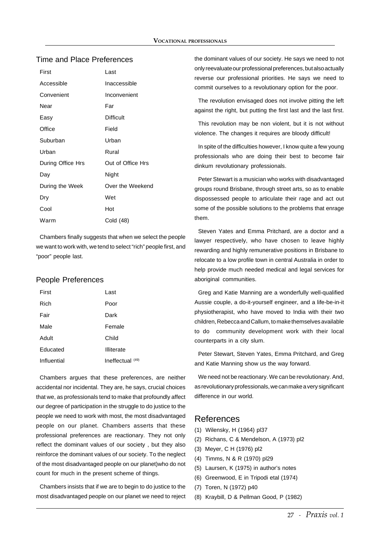#### Time and Place Preferences

| First             | Last              |
|-------------------|-------------------|
| Accessible        | Inaccessible      |
| Convenient        | Inconvenient      |
| Near              | Far               |
| Easy              | <b>Difficult</b>  |
| Office            | Field             |
| Suburban          | Urban             |
| Urban             | Rural             |
| During Office Hrs | Out of Office Hrs |
| Day               | Night             |
| During the Week   | Over the Weekend  |
| Dry               | Wet               |
| Cool              | Hot               |
| Warm              | Cold (48)         |

Chambers finally suggests that when we select the people we want to work with, we tend to select "rich" people first, and "poor" people last.

#### People Preferences

| First       | Last               |
|-------------|--------------------|
| Rich        | Poor               |
| Fair        | Dark               |
| Male        | Female             |
| Adult       | Child              |
| Educated    | Illiterate         |
| Influential | Ineffectual $(49)$ |

Chambers argues that these preferences, are neither accidental nor incidental. They are, he says, crucial choices that we, as professionals tend to make that profoundly affect our degree of participation in the struggle to do justice to the people we need to work with most, the most disadvantaged people on our planet. Chambers asserts that these professional preferences are reactionary. They not only reflect the dominant values of our society , but they also reinforce the dominant values of our society. To the neglect of the most disadvantaged people on our planet)who do not count for much in the present scheme of things.

Chambers insists that if we are to begin to do justice to the most disadvantaged people on our planet we need to reject the dominant values of our society. He says we need to not only reevaluate our professional preferences, but also actually reverse our professional priorities. He says we need to commit ourselves to a revolutionary option for the poor.

The revolution envisaged does not involve pitting the left against the right, but putting the first last and the last first.

This revolution may be non violent, but it is not without violence. The changes it requires are bloody difficult!

In spite of the difficulties however, I know quite a few young professionals who are doing their best to become fair dinkum revolutionary professionals.

Peter Stewart is a musician who works with disadvantaged groups round Brisbane, through street arts, so as to enable dispossessed people to articulate their rage and act out some of the possible solutions to the problems that enrage them.

Steven Yates and Emma Pritchard, are a doctor and a lawyer respectively, who have chosen to leave highly rewarding and highly remunerative positions in Brisbane to relocate to a low profile town in central Australia in order to help provide much needed medical and legal services for aboriginal communities.

Greg and Katie Manning are a wonderfully well-qualified Aussie couple, a do-it-yourself engineer, and a life-be-in-it physiotherapist, who have moved to India with their two children, Rebecca and Callum, to make themselves available to do community development work with their local counterparts in a city slum.

Peter Stewart, Steven Yates, Emma Pritchard, and Greg and Katie Manning show us the way forward.

We need not be reactionary. We can be revolutionary. And, as revolutionary professionals, we can make a very significant difference in our world.

## References

- (1) Wilensky, H (1964) pl37
- (2) Richans, C & Mendelson, A (1973) pl2
- (3) Meyer, C H (1976) pl2
- (4) Timms, N & R (1970) pl29
- (5) Laursen, K (1975) in author's notes
- (6) Greenwood, E in Tripodi etal (1974)
- (7) Toren, N (1972) p40
- (8) Kraybill, D & Pellman Good, P (1982)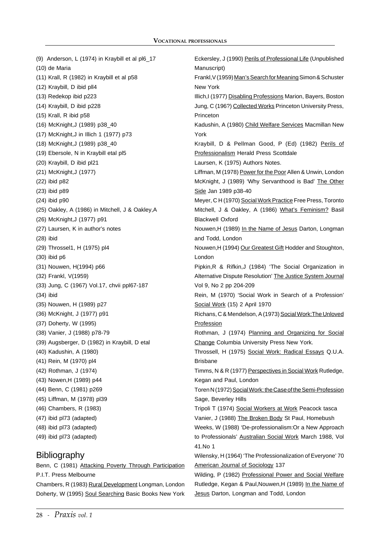(9) Anderson, L (1974) in Kraybill et al pl6\_17 (10) de Maria (11) Krall, R (1982) in Kraybill et al p58 (12) Kraybill, D ibid pll4 (13) Redekop ibid p223 (14) Kraybill, D ibid p228 (15) Krall, R ibid p58 (16) McKnight,J (1989) p38\_40 (17) McKnight,J in Illich 1 (1977) p73 (18) McKnight,J (1989) p38\_40 (19) Ebersole, N in Kraybill etal pl5 (20) Kraybill, D ibid pl21 (21) McKnight,J (1977) (22) ibid p82 (23) ibid p89 (24) ibid p90 (25) Oakley, A (1986) in Mitchell, J & Oakley,A (26) McKnight,J (1977) p91 (27) Laursen, K in author's notes (28) ibid (29) Throssel1, H (1975) pl4 (30) ibid p6 (31) Nouwen, H(1994) p66 (32) Frankl, V(1959) (33) Jung, C (1967) Vol.17, chvii ppl67-187 (34) ibid (35) Nouwen, H (1989) p27 (36) McKnight, J (1977) p91 (37) Doherty, W (1995) (38) Vanier, J (1988) p78-79 (39) Augsberger, D (1982) in Kraybill, D etal (40) Kadushin, A (1980) (41) Rein, M (1970) pl4 (42) Rothman, J (1974) (43) Nowen,H (1989) p44 (44) Benn, C (1981) p269 (45) Liffman, M (1978) pl39 (46) Chambers, R (1983) (47) ibid pl73 (adapted) (48) ibid pl73 (adapted) (49) ibid pl73 (adapted) **Bibliography** 

Benn, C (1981) Attacking Poverty Through Participation P.I.T. Press Melbourne Chambers, R (1983) Rural Development Longman, London

Doherty, W (1995) Soul Searching Basic Books New York

Eckersley, J (1990) Perils of Professional Life (Unpublished Manuscript) Frankl,V (1959) Man's Search for Meaning Simon & Schuster New York Illich,I (1977) Disabling Professions Marion, Bayers, Boston Jung, C (196?) Collected Works Princeton University Press, Princeton Kadushin, A (1980) Child Welfare Services Macmillan New York Kraybill, D & Pellman Good, P (Ed) (1982) Perils of Professionalism Herald Press Scottdale Laursen, K (1975) Authors Notes. Liffman, M (1978) Power for the Poor Allen & Unwin, London McKnight, J (1989) 'Why Servanthood is Bad' The Other Side Jan 1989 p38-40 Meyer, C H (1970) Social Work Practice Free Press, Toronto Mitchell, J & Oakley, A (1986) What's Feminism? Basil Blackwell Oxford Nouwen,H (1989) In the Name of Jesus Darton, Longman and Todd, London Nouwen,H (1994) Our Greatest Gift Hodder and Stoughton, London Pipkin,R & Rifkin,J (1984) 'The Social Organization in Alternative Dispute Resolution' The Justice System Journal Vol 9, No 2 pp 204-209 Rein, M (1970) 'Social Work in Search of a Profession' Social Work (15) 2 April 1970 Richans, C & Mendelson, A (1973) Social Work:The Unloved **Profession** Rothman, J (1974) Planning and Organizing for Social Change Columbia University Press New York. Throssell, H (1975) Social Work: Radical Essays Q.U.A. Brisbane Timms, N & R (1977) Perspectives in Social Work Rutledge, Kegan and Paul, London Toren N (1972) Social Work: the Case of the Semi-Profession Sage, Beverley Hills Tripoli T (1974) Social Workers at Work Peacock tasca Vanier, J (1988) The Broken Body St Paul, Homebush Weeks, W (1988) 'De-professionalism:Or a New Approach to Professionals' Australian Social Work March 1988, Vol 41.No 1 Wilensky, H (1964) 'The Professionalization of Everyone' 70 American Journal of Sociology 137 Wilding, P (1982) Professional Power and Social Welfare

Rutledge, Kegan & Paul, Nouwen, H (1989) In the Name of Jesus Darton, Longman and Todd, London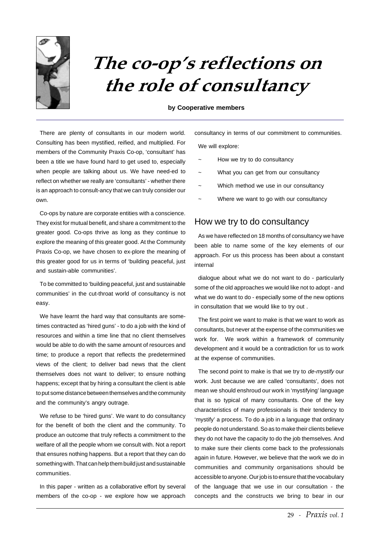

# The co-op's reflections on the role of consultancy

#### **by Cooperative members**

There are plenty of consultants in our modern world. Consulting has been mystified, reified, and multiplied. For members of the Community Praxis Co-op, 'consultant' has been a title we have found hard to get used to, especially when people are talking about us. We have need-ed to reflect on whether we really are 'consultants' - whether there is an approach to consult-ancy that we can truly consider our own.

Co-ops by nature are corporate entities with a conscience. They exist for mutual benefit, and share a commitment to the greater good. Co-ops thrive as long as they continue to explore the meaning of this greater good. At the Community Praxis Co-op, we have chosen to ex-plore the meaning of this greater good for us in terms of 'building peaceful, just and sustain-able communities'.

To be committed to 'building peaceful, just and sustainable communities' in the cut-throat world of consultancy is not easy.

We have learnt the hard way that consultants are sometimes contracted as 'hired guns' - to do a job with the kind of resources and within a time line that no client themselves would be able to do with the same amount of resources and time; to produce a report that reflects the predetermined views of the client; to deliver bad news that the client themselves does not want to deliver; to ensure nothing happens; except that by hiring a consultant the client is able to put some distance between themselves and the community and the community's angry outrage.

We refuse to be 'hired guns'. We want to do consultancy for the benefit of both the client and the community. To produce an outcome that truly reflects a commitment to the welfare of all the people whom we consult with. Not a report that ensures nothing happens. But a report that they can do something with. That can help them build just and sustainable communities.

In this paper - written as a collaborative effort by several members of the co-op - we explore how we approach consultancy in terms of our commitment to communities. We will explore:

- How we try to do consultancy
- What you can get from our consultancy
- Which method we use in our consultancy
- Where we want to go with our consultancy

### How we try to do consultancy

As we have reflected on 18 months of consultancy we have been able to name some of the key elements of our approach. For us this process has been about a constant internal

dialogue about what we do not want to do - particularly some of the old approaches we would like not to adopt - and what we do want to do - especially some of the new options in consultation that we would like to try out .

The first point we want to make is that we want to work as consultants, but never at the expense of the communities we work for. We work within a framework of community development and it would be a contradiction for us to work at the expense of communities.

The second point to make is that we try to de-mystify our work. Just because we are called 'consultants', does not mean we should enshroud our work in 'mystifying' language that is so typical of many consultants. One of the key characteristics of many professionals is their tendency to 'mystify' a process. To do a job in a language that ordinary people do not understand. So as to make their clients believe they do not have the capacity to do the job themselves. And to make sure their clients come back to the professionals again in future. However, we believe that the work we do in communities and community organisations should be accessible to anyone. Our job is to ensure that the vocabulary of the language that we use in our consultation - the concepts and the constructs we bring to bear in our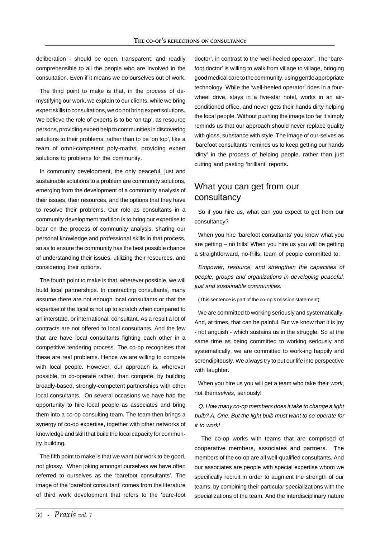deliberation - should be open, transparent, and readily comprehensible to all the people who are involved in the consultation. Even if it means we do ourselves out of work.

The third point to make is that, in the process of demystifying our work, we explain to our clients, while we bring expert skills to consultations, we do not bring expert solutions. We believe the role of experts is to be 'on tap', as resource persons, providing expert help to communities in discovering solutions to their problems, rather than to be 'on top', like a team of omni-competent poly-maths, providing expert solutions to problems for the community.

In community development, the only peaceful, just and sustainable solutions to a problem are community solutions, emerging from the development of a community analysis of their issues, their resources, and the options that they have to resolve their problems. Our role as consultants in a community development tradition is to bring our expertise to bear on the process of community analysis, sharing our personal knowledge and professional skills in that process, so as to ensure the community has the best possible chance of understanding their issues, utilizing their resources, and considering their options.

The fourth point to make is that, wherever possible, we will build local partnerships. In contracting consultants, many assume there are not enough local consultants or that the expertise of the local is not up to scratch when compared to an interstate, or international, consultant. As a result a lot of contracts are not offered to local consultants. And the few that are have local consultants fighting each other in a competitive tendering process. The co-op recognises that these are real problems. Hence we are willing to compete with local people. However, our approach is, wherever possible, to co-operate rather, than compete, by building broadly-based, strongly-competent partnerships with other local consultants. On several occasions we have had the opportunity to hire local people as associates and bring them into a co-op consulting team. The team then brings a synergy of co-op expertise, together with other networks of knowledge and skill that build the local capacity for community building.

The fifth point to make is that we want our work to be good, not glossy. When joking amongst ourselves we have often referred to ourselves as the 'barefoot consultants'. The image of the 'barefoot consultant' comes from the literature of third work development that refers to the 'bare-foot doctor', in contrast to the 'well-heeled operator'. The 'barefoot doctor' is willing to walk from village to village, bringing good medical care to the community, using gentle appropriate technology. While the 'well-heeled operator' rides in a fourwheel drive, stays in a five-star hotel, works in an airconditioned office, and never gets their hands dirty helping the local people. Without pushing the image too far it simply reminds us that our approach should never replace quality with gloss, substance with style. The image of our-selves as 'barefoot consultants' reminds us to keep getting our hands 'dirty' in the process of helping people, rather than just cutting and pasting 'brilliant' reports**.**

# What you can get from our consultancy

So if you hire us, what can you expect to get from our consultancy?

When you hire 'barefoot consultants' you know what you are getting – no frills! When you hire us you will be getting a straightforward, no-frills, team of people committed to:

Empower, resource, and strengthen the capacities of people, groups and organizations in developing peaceful, just and sustainable communities.

(This sentence is part of the co-op's mission statement)

We are committed to working seriously and systematically. And, at times, that can be painful. But we know that it is joy - not anguish - which sustains us in the struggle. So at the same time as being committed to working seriously and systematically, we are committed to work-ing happily and serendipitously. We always try to put our life into perspective with laughter.

When you hire us you will get a team who take their work, not themselves, seriously!

Q. How many co-op members does it take to change a light bulb? A. One. But the light bulb must want to co-operate for it to work!

The co-op works with teams that are comprised of cooperative members, associates and partners. The members of the co-op are all well-qualified consultants. And our associates are people with special expertise whom we specifically recruit in order to augment the strength of our teams, by combining their particular specializations with the specializations of the team. And the interdisciplinary nature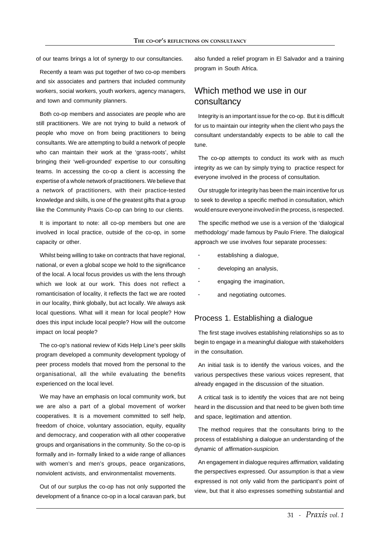of our teams brings a lot of synergy to our consultancies.

Recently a team was put together of two co-op members and six associates and partners that included community workers, social workers, youth workers, agency managers, and town and community planners.

Both co-op members and associates are people who are still practitioners. We are not trying to build a network of people who move on from being practitioners to being consultants. We are attempting to build a network of people who can maintain their work at the 'grass-roots', whilst bringing their 'well-grounded' expertise to our consulting teams. In accessing the co-op a client is accessing the expertise of a whole network of practitioners. We believe that a network of practitioners, with their practice-tested knowledge and skills, is one of the greatest gifts that a group like the Community Praxis Co-op can bring to our clients.

It is important to note: all co-op members but one are involved in local practice, outside of the co-op, in some capacity or other.

Whilst being willing to take on contracts that have regional, national, or even a global scope we hold to the significance of the local. A local focus provides us with the lens through which we look at our work. This does not reflect a romanticisation of locality, it reflects the fact we are rooted in our locality, think globally, but act locally. We always ask local questions. What will it mean for local people? How does this input include local people? How will the outcome impact on local people?

The co-op's national review of Kids Help Line's peer skills program developed a community development typology of peer process models that moved from the personal to the organisational, all the while evaluating the benefits experienced on the local level.

We may have an emphasis on local community work, but we are also a part of a global movement of worker cooperatives. It is a movement committed to self help, freedom of choice, voluntary association, equity, equality and democracy, and cooperation with all other cooperative groups and organisations in the community. So the co-op is formally and in- formally linked to a wide range of alliances with women's and men's groups, peace organizations, nonviolent activists, and environmentalist movements.

Out of our surplus the co-op has not only supported the development of a finance co-op in a local caravan park, but also funded a relief program in El Salvador and a training program in South Africa.

# Which method we use in our consultancy

Integrity is an important issue for the co-op. But it is difficult for us to maintain our integrity when the client who pays the consultant understandably expects to be able to call the tune.

The co-op attempts to conduct its work with as much integrity as we can by simply trying to practice respect for everyone involved in the process of consultation.

Our struggle for integrity has been the main incentive for us to seek to develop a specific method in consultation, which would ensure everyone involved in the process, is respected.

The specific method we use is a version of the 'dialogical methodology' made famous by Paulo Friere. The dialogical approach we use involves four separate processes:

- **·** establishing a dialogue,
- **·** developing an analysis,
- **·** engaging the imagination,
- **·** and negotiating outcomes.

#### Process 1. Establishing a dialogue

The first stage involves establishing relationships so as to begin to engage in a meaningful dialogue with stakeholders in the consultation.

An initial task is to identify the various voices, and the various perspectives these various voices represent, that already engaged in the discussion of the situation.

A critical task is to identify the voices that are not being heard in the discussion and that need to be given both time and space, legitimation and attention.

The method requires that the consultants bring to the process of establishing a dialogue an understanding of the dynamic of affirmation-suspicion.

An engagement in dialogue requires affirmation, validating the perspectives expressed. Our assumption is that a view expressed is not only valid from the participant's point of view, but that it also expresses something substantial and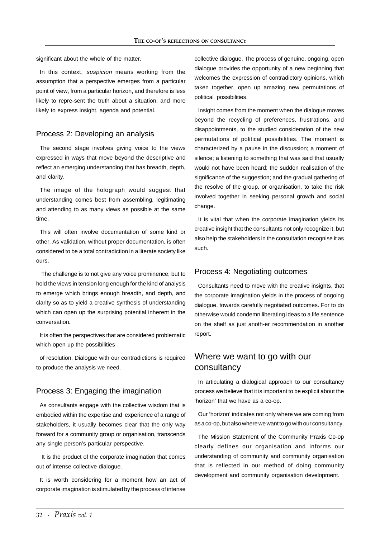significant about the whole of the matter.

In this context, *suspicion* means working from the assumption that a perspective emerges from a particular point of view, from a particular horizon, and therefore is less likely to repre-sent the truth about a situation, and more likely to express insight, agenda and potential.

#### Process 2: Developing an analysis

The second stage involves giving voice to the views expressed in ways that move beyond the descriptive and reflect an emerging understanding that has breadth, depth, and clarity.

The image of the holograph would suggest that understanding comes best from assembling, legitimating and attending to as many views as possible at the same time.

This will often involve documentation of some kind or other. As validation, without proper documentation, is often considered to be a total contradiction in a literate society like ours.

 The challenge is to not give any voice prominence, but to hold the views in tension long enough for the kind of analysis to emerge which brings enough breadth, and depth, and clarity so as to yield a creative synthesis of understanding which can open up the surprising potential inherent in the conversation**.**

It is often the perspectives that are considered problematic which open up the possibilities

of resolution. Dialogue with our contradictions is required to produce the analysis we need.

#### Process 3: Engaging the imagination

As consultants engage with the collective wisdom that is embodied within the expertise and experience of a range of stakeholders, it usually becomes clear that the only way forward for a community group or organisation, transcends any single person's particular perspective.

 It is the product of the corporate imagination that comes out of intense collective dialogue.

It is worth considering for a moment how an act of corporate imagination is stimulated by the process of intense collective dialogue. The process of genuine, ongoing, open dialogue provides the opportunity of a new beginning that welcomes the expression of contradictory opinions, which taken together, open up amazing new permutations of political possibilities.

Insight comes from the moment when the dialogue moves beyond the recycling of preferences, frustrations, and disappointments, to the studied consideration of the new permutations of political possibilities. The moment is characterized by a pause in the discussion; a moment of silence; a listening to something that was said that usually would not have been heard; the sudden realisation of the significance of the suggestion; and the gradual gathering of the resolve of the group, or organisation, to take the risk involved together in seeking personal growth and social change.

It is vital that when the corporate imagination yields its creative insight that the consultants not only recognize it, but also help the stakeholders in the consultation recognise it as such.

#### Process 4: Negotiating outcomes

Consultants need to move with the creative insights, that the corporate imagination yields in the process of ongoing dialogue, towards carefully negotiated outcomes. For to do otherwise would condemn liberating ideas to a life sentence on the shelf as just anoth-er recommendation in another report.

# Where we want to go with our consultancy

In articulating a dialogical approach to our consultancy process we believe that it is important to be explicit about the 'horizon' that we have as a co-op.

Our 'horizon' indicates not only where we are coming from as a co-op, but also where we want to go with our consultancy.

The Mission Statement of the Community Praxis Co-op clearly defines our organisation and informs our understanding of community and community organisation that is reflected in our method of doing community development and community organisation development.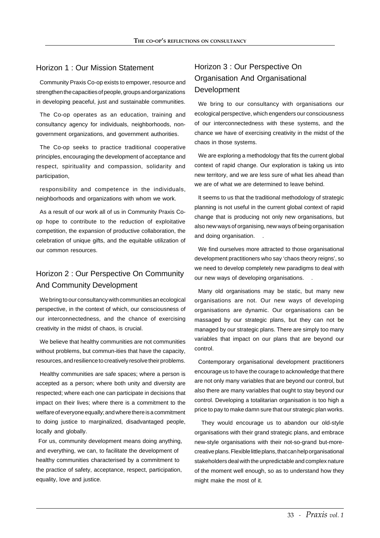### Horizon 1 : Our Mission Statement

Community Praxis Co-op exists to empower, resource and strengthen the capacities of people, groups and organizations in developing peaceful, just and sustainable communities.

The Co-op operates as an education, training and consultancy agency for individuals, neighborhoods, nongovernment organizations, and government authorities.

The Co-op seeks to practice traditional cooperative principles, encouraging the development of acceptance and respect, spirituality and compassion, solidarity and participation,

responsibility and competence in the individuals, neighborhoods and organizations with whom we work.

As a result of our work all of us in Community Praxis Coop hope to contribute to the reduction of exploitative competition, the expansion of productive collaboration, the celebration of unique gifts, and the equitable utilization of our common resources.

# Horizon 2 : Our Perspective On Community And Community Development

We bring to our consultancy with communities an ecological perspective, in the context of which, our consciousness of our interconnectedness, and the chance of exercising creativity in the midst of chaos, is crucial.

We believe that healthy communities are not communities without problems, but commun-ities that have the capacity, resources, and resilience to creatively resolve their problems.

Healthy communities are safe spaces; where a person is accepted as a person; where both unity and diversity are respected; where each one can participate in decisions that impact on their lives; where there is a commitment to the welfare of everyone equally; and where there is a commitment to doing justice to marginalized, disadvantaged people, locally and globally.

For us, community development means doing anything, and everything, we can, to facilitate the development of healthy communities characterised by a commitment to the practice of safety, acceptance, respect, participation, equality, love and justice.

# Horizon 3 : Our Perspective On Organisation And Organisational Development

We bring to our consultancy with organisations our ecological perspective, which engenders our consciousness of our interconnectedness with these systems, and the chance we have of exercising creativity in the midst of the chaos in those systems.

We are exploring a methodology that fits the current global context of rapid change. Our exploration is taking us into new territory, and we are less sure of what lies ahead than we are of what we are determined to leave behind.

It seems to us that the traditional methodology of strategic planning is not useful in the current global context of rapid change that is producing not only new organisations, but also new ways of organising, new ways of being organisation and doing organisation. .

We find ourselves more attracted to those organisational development practitioners who say 'chaos theory reigns', so we need to develop completely new paradigms to deal with our new ways of developing organisations. .

Many old organisations may be static, but many new organisations are not. Our new ways of developing organisations are dynamic. Our organisations can be massaged by our strategic plans, but they can not be managed by our strategic plans. There are simply too many variables that impact on our plans that are beyond our control.

Contemporary organisational development practitioners encourage us to have the courage to acknowledge that there are not only many variables that are beyond our control, but also there are many variables that ought to stay beyond our control. Developing a totalitarian organisation is too high a price to pay to make damn sure that our strategic plan works.

 They would encourage us to abandon our old-style organisations with their grand strategic plans, and embrace new-style organisations with their not-so-grand but-morecreative plans. Flexible little plans, that can help organisational stakeholders deal with the unpredictable and complex nature of the moment well enough, so as to understand how they might make the most of it.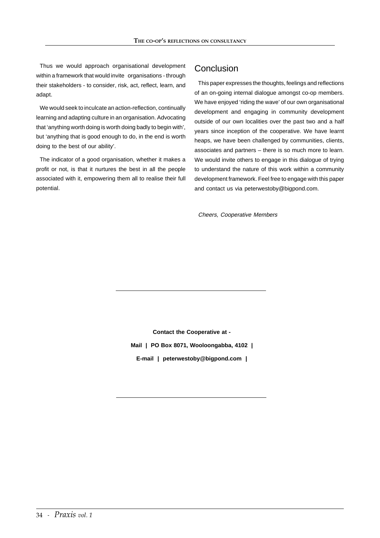Thus we would approach organisational development within a framework that would invite organisations - through their stakeholders - to consider, risk, act, reflect, learn, and adapt.

We would seek to inculcate an action-reflection, continually learning and adapting culture in an organisation. Advocating that 'anything worth doing is worth doing badly to begin with', but 'anything that is good enough to do, in the end is worth doing to the best of our ability'.

The indicator of a good organisation, whether it makes a profit or not, is that it nurtures the best in all the people associated with it, empowering them all to realise their full potential.

# **Conclusion**

This paper expresses the thoughts, feelings and reflections of an on-going internal dialogue amongst co-op members. We have enjoyed 'riding the wave' of our own organisational development and engaging in community development outside of our own localities over the past two and a half years since inception of the cooperative. We have learnt heaps, we have been challenged by communities, clients, associates and partners – there is so much more to learn. We would invite others to engage in this dialogue of trying to understand the nature of this work within a community development framework. Feel free to engage with this paper and contact us via peterwestoby@bigpond.com.

Cheers, Cooperative Members

**Contact the Cooperative at - Mail | PO Box 8071, Wooloongabba, 4102 | E-mail | peterwestoby@bigpond.com |**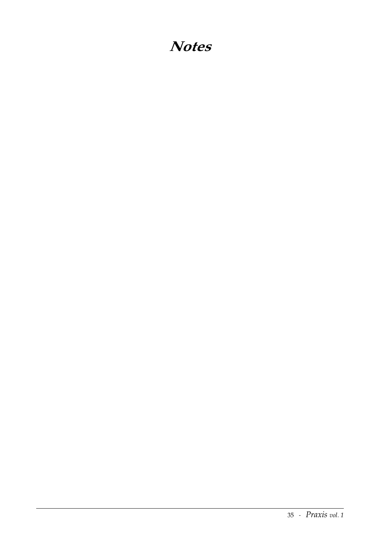# **Notes**